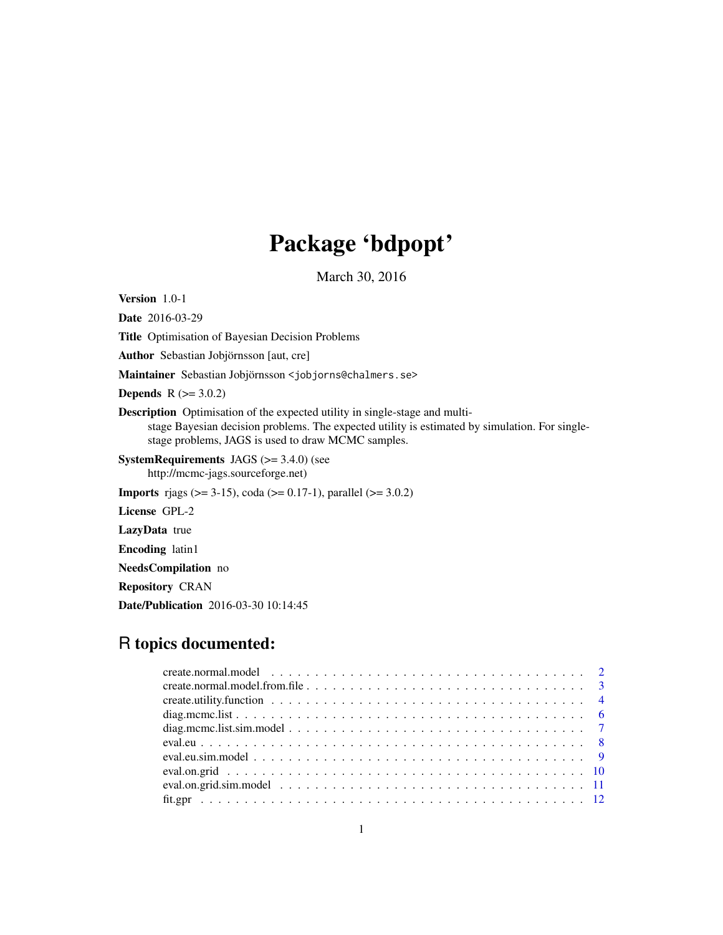# Package 'bdpopt'

March 30, 2016

Version 1.0-1

Date 2016-03-29 Title Optimisation of Bayesian Decision Problems Author Sebastian Jobjörnsson [aut, cre] Maintainer Sebastian Jobjörnsson <jobjorns@chalmers.se> **Depends**  $R (= 3.0.2)$ Description Optimisation of the expected utility in single-stage and multistage Bayesian decision problems. The expected utility is estimated by simulation. For singlestage problems, JAGS is used to draw MCMC samples. SystemRequirements JAGS (>= 3.4.0) (see http://mcmc-jags.sourceforge.net) **Imports** rjags ( $>= 3-15$ ), coda ( $>= 0.17-1$ ), parallel ( $>= 3.0.2$ ) License GPL-2 LazyData true Encoding latin1 NeedsCompilation no

Repository CRAN

Date/Publication 2016-03-30 10:14:45

# R topics documented: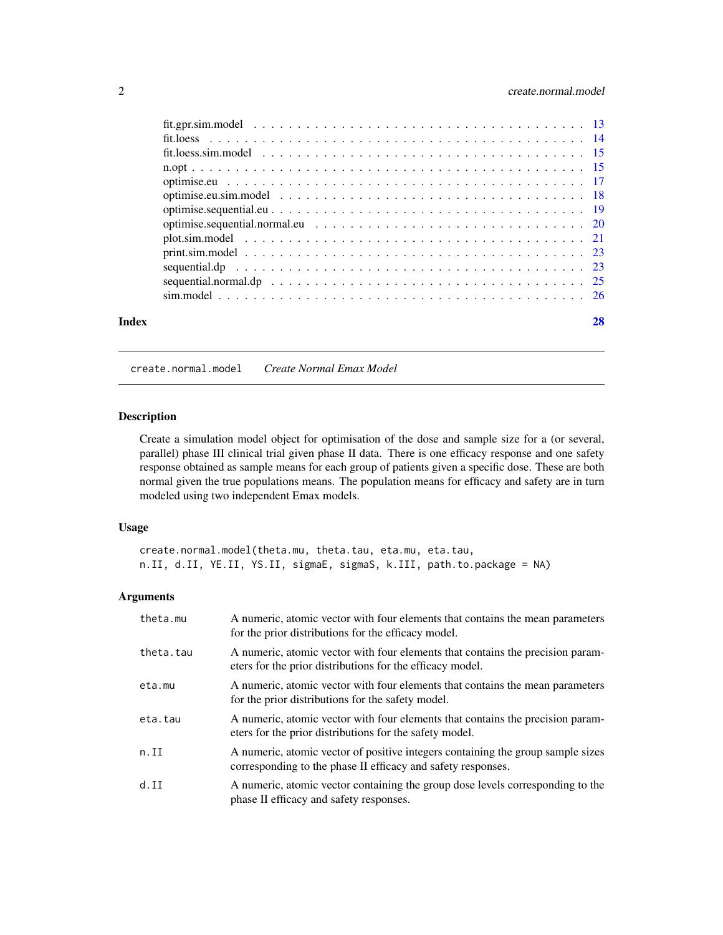<span id="page-1-0"></span>

| Index | 28 |
|-------|----|
|       |    |

# <span id="page-1-1"></span>create.normal.model *Create Normal Emax Model*

#### Description

Create a simulation model object for optimisation of the dose and sample size for a (or several, parallel) phase III clinical trial given phase II data. There is one efficacy response and one safety response obtained as sample means for each group of patients given a specific dose. These are both normal given the true populations means. The population means for efficacy and safety are in turn modeled using two independent Emax models.

# Usage

create.normal.model(theta.mu, theta.tau, eta.mu, eta.tau, n.II, d.II, YE.II, YS.II, sigmaE, sigmaS, k.III, path.to.package = NA)

| theta.mu  | A numeric, atomic vector with four elements that contains the mean parameters<br>for the prior distributions for the efficacy model.            |
|-----------|-------------------------------------------------------------------------------------------------------------------------------------------------|
| theta.tau | A numeric, atomic vector with four elements that contains the precision param-<br>eters for the prior distributions for the efficacy model.     |
| eta.mu    | A numeric, atomic vector with four elements that contains the mean parameters<br>for the prior distributions for the safety model.              |
| eta.tau   | A numeric, atomic vector with four elements that contains the precision param-<br>eters for the prior distributions for the safety model.       |
| n.II      | A numeric, atomic vector of positive integers containing the group sample sizes<br>corresponding to the phase II efficacy and safety responses. |
| d.II      | A numeric, atomic vector containing the group dose levels corresponding to the<br>phase II efficacy and safety responses.                       |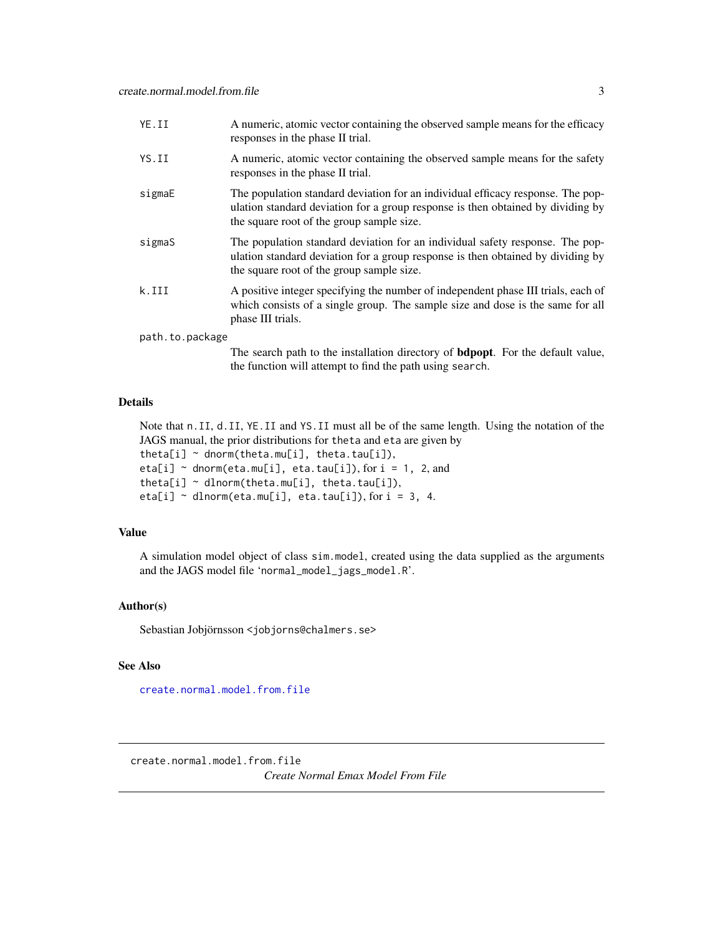<span id="page-2-0"></span>

| YE.II           | A numeric, atomic vector containing the observed sample means for the efficacy<br>responses in the phase II trial.                                                                                              |
|-----------------|-----------------------------------------------------------------------------------------------------------------------------------------------------------------------------------------------------------------|
| YS.II           | A numeric, atomic vector containing the observed sample means for the safety<br>responses in the phase II trial.                                                                                                |
| sigmaE          | The population standard deviation for an individual efficacy response. The pop-<br>ulation standard deviation for a group response is then obtained by dividing by<br>the square root of the group sample size. |
| sigmaS          | The population standard deviation for an individual safety response. The pop-<br>ulation standard deviation for a group response is then obtained by dividing by<br>the square root of the group sample size.   |
| k.III           | A positive integer specifying the number of independent phase III trials, each of<br>which consists of a single group. The sample size and dose is the same for all<br>phase III trials.                        |
| path.to.package |                                                                                                                                                                                                                 |
|                 | The search path to the installation directory of <b>bdpopt</b> . For the default value,<br>the function will attempt to find the path using search.                                                             |

#### Details

Note that n.II, d.II, YE.II and YS.II must all be of the same length. Using the notation of the JAGS manual, the prior distributions for theta and eta are given by theta[i]  $\sim$  dnorm(theta.mu[i], theta.tau[i]), eta[i]  $\sim$  dnorm(eta.mu[i], eta.tau[i]), for i = 1, 2, and theta[i]  $\sim$  dlnorm(theta.mu[i], theta.tau[i]),

eta[i]  $\sim$  dlnorm(eta.mu[i], eta.tau[i]), for i = 3, 4.

# Value

A simulation model object of class sim.model, created using the data supplied as the arguments and the JAGS model file 'normal\_model\_jags\_model.R'.

# Author(s)

Sebastian Jobjörnsson <jobjorns@chalmers.se>

#### See Also

[create.normal.model.from.file](#page-2-1)

<span id="page-2-1"></span>create.normal.model.from.file

*Create Normal Emax Model From File*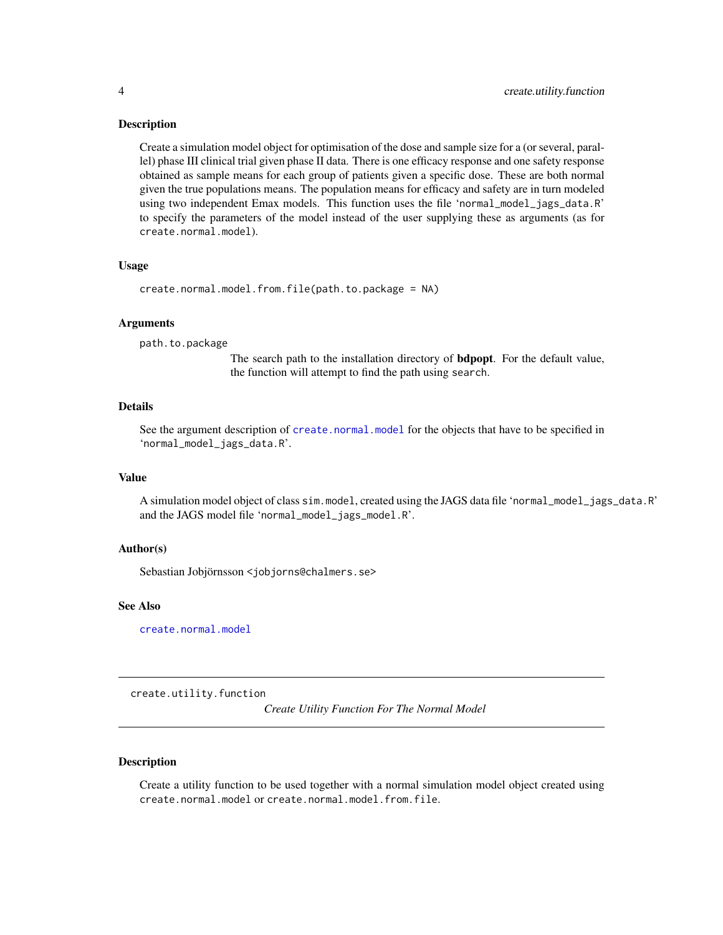#### <span id="page-3-0"></span>Description

Create a simulation model object for optimisation of the dose and sample size for a (or several, parallel) phase III clinical trial given phase II data. There is one efficacy response and one safety response obtained as sample means for each group of patients given a specific dose. These are both normal given the true populations means. The population means for efficacy and safety are in turn modeled using two independent Emax models. This function uses the file 'normal\_model\_jags\_data.R' to specify the parameters of the model instead of the user supplying these as arguments (as for create.normal.model).

#### Usage

```
create.normal.model.from.file(path.to.package = NA)
```
#### Arguments

path.to.package

The search path to the installation directory of bdpopt. For the default value, the function will attempt to find the path using search.

#### Details

See the argument description of [create.normal.model](#page-1-1) for the objects that have to be specified in 'normal\_model\_jags\_data.R'.

#### Value

A simulation model object of class sim.model, created using the JAGS data file 'normal\_model\_jags\_data.R' and the JAGS model file 'normal\_model\_jags\_model.R'.

#### Author(s)

Sebastian Jobjörnsson <jobjorns@chalmers.se>

#### See Also

[create.normal.model](#page-1-1)

create.utility.function

*Create Utility Function For The Normal Model*

#### Description

Create a utility function to be used together with a normal simulation model object created using create.normal.model or create.normal.model.from.file.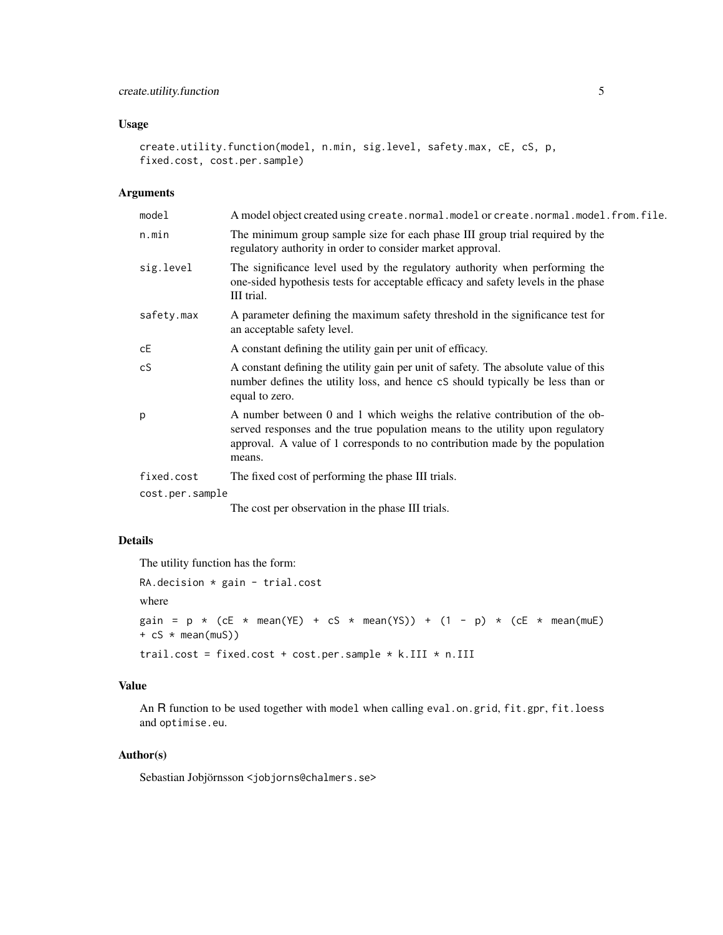# Usage

```
create.utility.function(model, n.min, sig.level, safety.max, cE, cS, p,
fixed.cost, cost.per.sample)
```
#### Arguments

| model           | A model object created using create.normal.model or create.normal.model.from.file.                                                                                                                                                                    |
|-----------------|-------------------------------------------------------------------------------------------------------------------------------------------------------------------------------------------------------------------------------------------------------|
| n.min           | The minimum group sample size for each phase III group trial required by the<br>regulatory authority in order to consider market approval.                                                                                                            |
| sig.level       | The significance level used by the regulatory authority when performing the<br>one-sided hypothesis tests for acceptable efficacy and safety levels in the phase<br>III trial.                                                                        |
| safety.max      | A parameter defining the maximum safety threshold in the significance test for<br>an acceptable safety level.                                                                                                                                         |
| сE              | A constant defining the utility gain per unit of efficacy.                                                                                                                                                                                            |
| cS              | A constant defining the utility gain per unit of safety. The absolute value of this<br>number defines the utility loss, and hence cS should typically be less than or<br>equal to zero.                                                               |
| p               | A number between 0 and 1 which weighs the relative contribution of the ob-<br>served responses and the true population means to the utility upon regulatory<br>approval. A value of 1 corresponds to no contribution made by the population<br>means. |
| fixed.cost      | The fixed cost of performing the phase III trials.                                                                                                                                                                                                    |
| cost.per.sample |                                                                                                                                                                                                                                                       |
|                 |                                                                                                                                                                                                                                                       |

The cost per observation in the phase III trials.

# Details

The utility function has the form:

```
RA.decision * gain - trial.cost
where
gain = p * (cE * mean(YE) + cS * mean(YS)) + (1 - p) * (cE * mean(muE))+ cS * mean(muS))trail.cost = fixed.cost + cost.per.sample * k.III * n.III
```
#### Value

An R function to be used together with model when calling eval.on.grid, fit.gpr, fit.loess and optimise.eu.

# Author(s)

Sebastian Jobjörnsson <jobjorns@chalmers.se>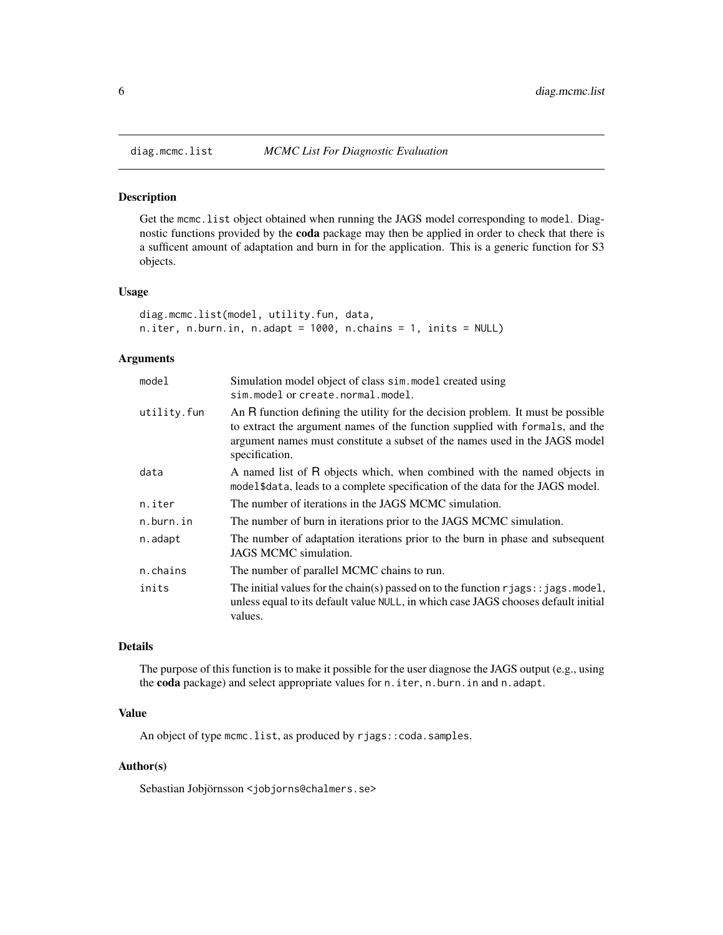<span id="page-5-1"></span><span id="page-5-0"></span>

### Description

Get the mcmc.list object obtained when running the JAGS model corresponding to model. Diagnostic functions provided by the coda package may then be applied in order to check that there is a sufficent amount of adaptation and burn in for the application. This is a generic function for S3 objects.

#### Usage

```
diag.mcmc.list(model, utility.fun, data,
n.iter, n.burn.in, n.adapt = 1000, n.chains = 1, inits = NULL)
```
# Arguments

| model       | Simulation model object of class sim. model created using<br>sim.model or create.normal.model.                                                                                                                                                                    |
|-------------|-------------------------------------------------------------------------------------------------------------------------------------------------------------------------------------------------------------------------------------------------------------------|
| utility.fun | An R function defining the utility for the decision problem. It must be possible<br>to extract the argument names of the function supplied with formals, and the<br>argument names must constitute a subset of the names used in the JAGS model<br>specification. |
| data        | A named list of R objects which, when combined with the named objects in<br>model\$data, leads to a complete specification of the data for the JAGS model.                                                                                                        |
| n.iter      | The number of iterations in the JAGS MCMC simulation.                                                                                                                                                                                                             |
| n.burn.in   | The number of burn in iterations prior to the JAGS MCMC simulation.                                                                                                                                                                                               |
| n.adapt     | The number of adaptation iterations prior to the burn in phase and subsequent<br>JAGS MCMC simulation.                                                                                                                                                            |
| n.chains    | The number of parallel MCMC chains to run.                                                                                                                                                                                                                        |
| inits       | The initial values for the chain(s) passed on to the function $r_j \text{ags}:$ jags. model,<br>unless equal to its default value NULL, in which case JAGS chooses default initial<br>values.                                                                     |

### Details

The purpose of this function is to make it possible for the user diagnose the JAGS output (e.g., using the coda package) and select appropriate values for n.iter, n.burn.in and n.adapt.

#### Value

An object of type mcmc.list, as produced by rjags::coda.samples.

#### Author(s)

Sebastian Jobjörnsson <jobjorns@chalmers.se>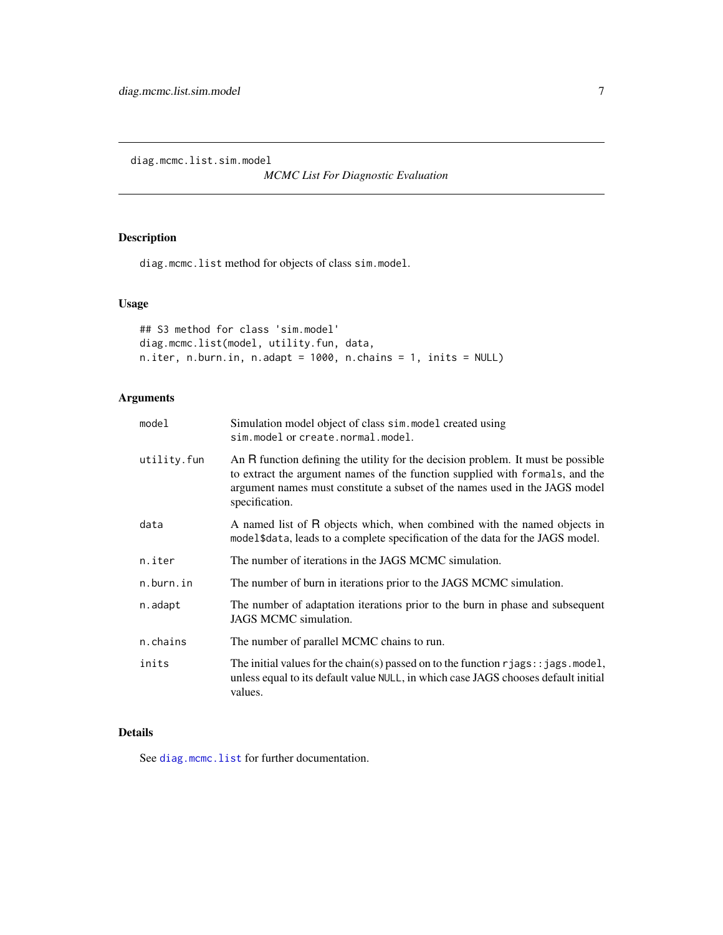<span id="page-6-0"></span>diag.mcmc.list.sim.model

*MCMC List For Diagnostic Evaluation*

# Description

diag.mcmc.list method for objects of class sim.model.

# Usage

```
## S3 method for class 'sim.model'
diag.mcmc.list(model, utility.fun, data,
n.iter, n.burn.in, n.adapt = 1000, n.chains = 1, inits = NULL)
```
# Arguments

| model       | Simulation model object of class sim. model created using<br>sim.model or create.normal.model.                                                                                                                                                                    |
|-------------|-------------------------------------------------------------------------------------------------------------------------------------------------------------------------------------------------------------------------------------------------------------------|
| utility.fun | An R function defining the utility for the decision problem. It must be possible<br>to extract the argument names of the function supplied with formals, and the<br>argument names must constitute a subset of the names used in the JAGS model<br>specification. |
| data        | A named list of R objects which, when combined with the named objects in<br>model\$data, leads to a complete specification of the data for the JAGS model.                                                                                                        |
| n.iter      | The number of iterations in the JAGS MCMC simulation.                                                                                                                                                                                                             |
| n.burn.in   | The number of burn in iterations prior to the JAGS MCMC simulation.                                                                                                                                                                                               |
| n.adapt     | The number of adaptation iterations prior to the burn in phase and subsequent<br>JAGS MCMC simulation.                                                                                                                                                            |
| n.chains    | The number of parallel MCMC chains to run.                                                                                                                                                                                                                        |
| inits       | The initial values for the chain(s) passed on to the function $r_j$ ags: $:j$ ags. model,<br>unless equal to its default value NULL, in which case JAGS chooses default initial<br>values.                                                                        |

#### Details

See [diag.mcmc.list](#page-5-1) for further documentation.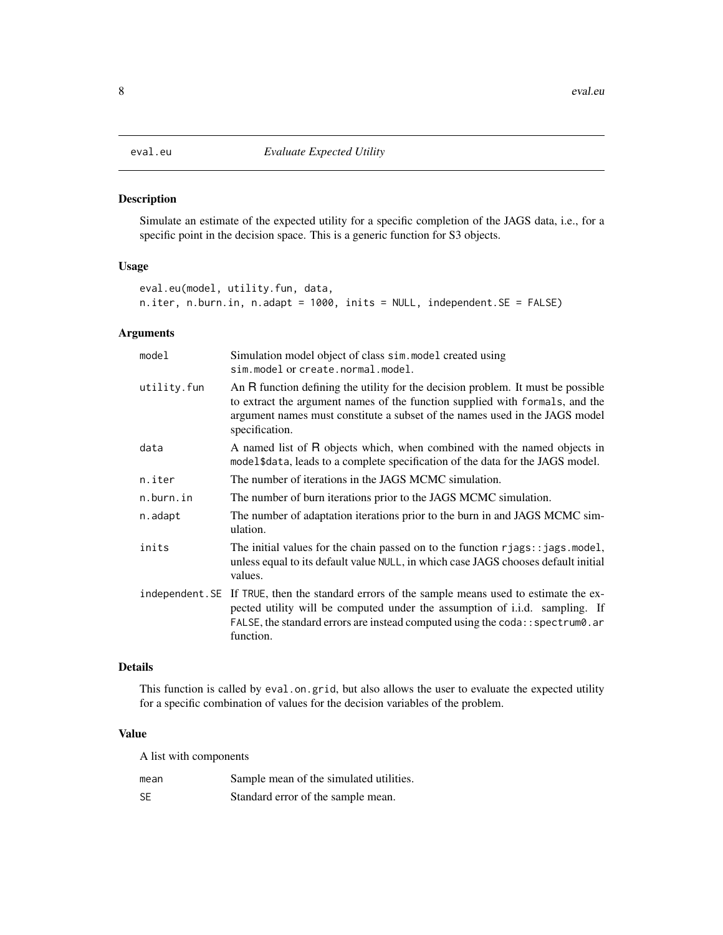#### <span id="page-7-1"></span><span id="page-7-0"></span>Description

Simulate an estimate of the expected utility for a specific completion of the JAGS data, i.e., for a specific point in the decision space. This is a generic function for S3 objects.

# Usage

```
eval.eu(model, utility.fun, data,
n.iter, n.burn.in, n.adapt = 1000, inits = NULL, independent.SE = FALSE)
```
# Arguments

| model       | Simulation model object of class sim. model created using<br>sim.model or create.normal.model.                                                                                                                                                                               |
|-------------|------------------------------------------------------------------------------------------------------------------------------------------------------------------------------------------------------------------------------------------------------------------------------|
| utility.fun | An R function defining the utility for the decision problem. It must be possible<br>to extract the argument names of the function supplied with formals, and the<br>argument names must constitute a subset of the names used in the JAGS model<br>specification.            |
| data        | A named list of R objects which, when combined with the named objects in<br>model \$data, leads to a complete specification of the data for the JAGS model.                                                                                                                  |
| n.iter      | The number of iterations in the JAGS MCMC simulation.                                                                                                                                                                                                                        |
| n.burn.in   | The number of burn iterations prior to the JAGS MCMC simulation.                                                                                                                                                                                                             |
| n.adapt     | The number of adaptation iterations prior to the burn in and JAGS MCMC sim-<br>ulation.                                                                                                                                                                                      |
| inits       | The initial values for the chain passed on to the function $r_j \text{ags}: j \text{ ags model},$<br>unless equal to its default value NULL, in which case JAGS chooses default initial<br>values.                                                                           |
|             | independent. SE If TRUE, then the standard errors of the sample means used to estimate the ex-<br>pected utility will be computed under the assumption of i.i.d. sampling. If<br>FALSE, the standard errors are instead computed using the coda:: spectrum0. ar<br>function. |

#### Details

This function is called by eval.on.grid, but also allows the user to evaluate the expected utility for a specific combination of values for the decision variables of the problem.

# Value

A list with components

| mean      | Sample mean of the simulated utilities. |
|-----------|-----------------------------------------|
| <b>SE</b> | Standard error of the sample mean.      |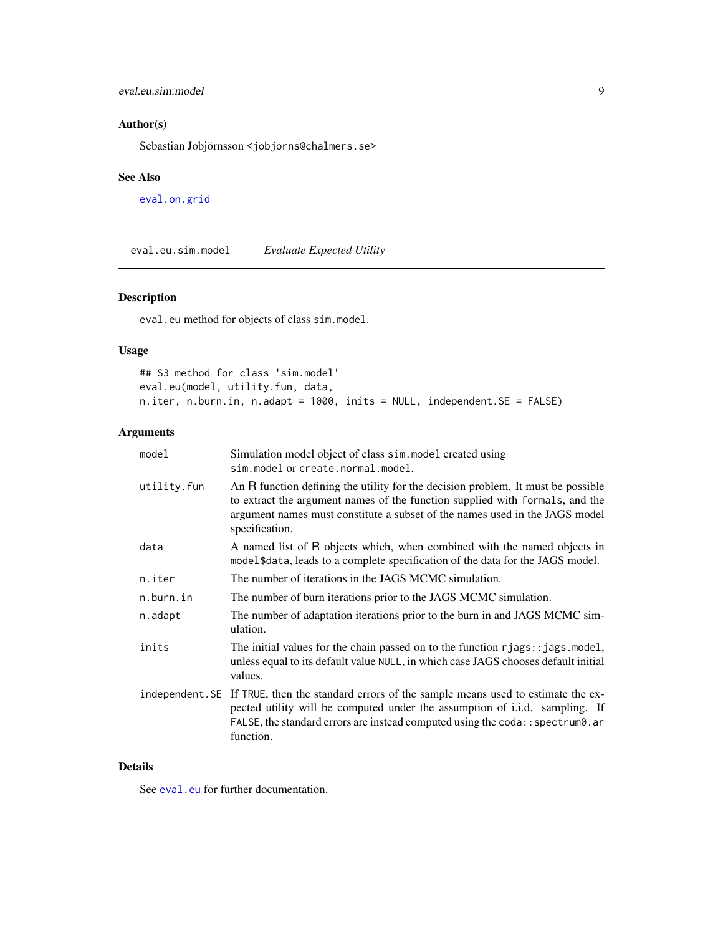# <span id="page-8-0"></span>eval.eu.sim.model 9

# Author(s)

Sebastian Jobjörnsson <jobjorns@chalmers.se>

### See Also

[eval.on.grid](#page-9-1)

eval.eu.sim.model *Evaluate Expected Utility*

# Description

eval.eu method for objects of class sim.model.

# Usage

## S3 method for class 'sim.model' eval.eu(model, utility.fun, data, n.iter, n.burn.in, n.adapt = 1000, inits = NULL, independent.SE = FALSE)

# Arguments

| model       | Simulation model object of class sim. model created using<br>sim.model or create.normal.model.                                                                                                                                                                                     |
|-------------|------------------------------------------------------------------------------------------------------------------------------------------------------------------------------------------------------------------------------------------------------------------------------------|
| utility.fun | An R function defining the utility for the decision problem. It must be possible<br>to extract the argument names of the function supplied with formals, and the<br>argument names must constitute a subset of the names used in the JAGS model<br>specification.                  |
| data        | A named list of R objects which, when combined with the named objects in<br>model \$data, leads to a complete specification of the data for the JAGS model.                                                                                                                        |
| n.iter      | The number of iterations in the JAGS MCMC simulation.                                                                                                                                                                                                                              |
| n.burn.in   | The number of burn iterations prior to the JAGS MCMC simulation.                                                                                                                                                                                                                   |
| n.adapt     | The number of adaptation iterations prior to the burn in and JAGS MCMC sim-<br>ulation.                                                                                                                                                                                            |
| inits       | The initial values for the chain passed on to the function $r_j$ ags: $:j$ ags. model,<br>unless equal to its default value NULL, in which case JAGS chooses default initial<br>values.                                                                                            |
|             | independent. SE If TRUE, then the standard errors of the sample means used to estimate the ex-<br>pected utility will be computed under the assumption of <i>i.i.d.</i> sampling. If<br>FALSE, the standard errors are instead computed using the coda:: spectrum0.ar<br>function. |

# Details

See [eval.eu](#page-7-1) for further documentation.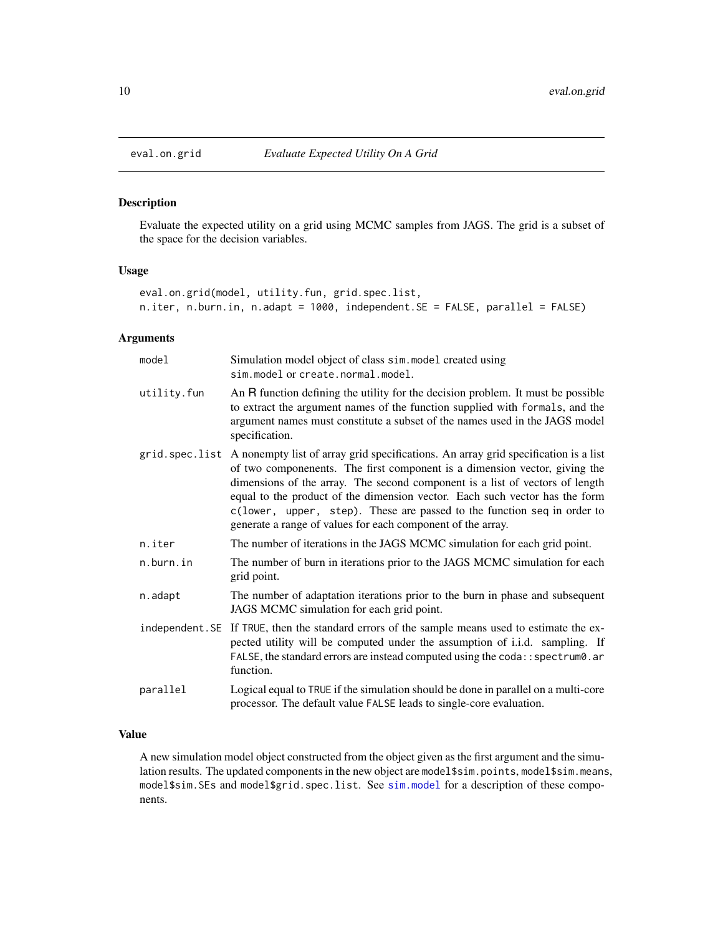<span id="page-9-1"></span><span id="page-9-0"></span>

# Description

Evaluate the expected utility on a grid using MCMC samples from JAGS. The grid is a subset of the space for the decision variables.

#### Usage

```
eval.on.grid(model, utility.fun, grid.spec.list,
n.iter, n.burn.in, n.adapt = 1000, independent.SE = FALSE, parallel = FALSE)
```
# Arguments

| model       | Simulation model object of class sim. model created using<br>sim. model or create. normal. model.                                                                                                                                                                                                                                                                                                                                                                                         |
|-------------|-------------------------------------------------------------------------------------------------------------------------------------------------------------------------------------------------------------------------------------------------------------------------------------------------------------------------------------------------------------------------------------------------------------------------------------------------------------------------------------------|
| utility.fun | An R function defining the utility for the decision problem. It must be possible<br>to extract the argument names of the function supplied with formals, and the<br>argument names must constitute a subset of the names used in the JAGS model<br>specification.                                                                                                                                                                                                                         |
|             | grid.spec.list A nonempty list of array grid specifications. An array grid specification is a list<br>of two componenents. The first component is a dimension vector, giving the<br>dimensions of the array. The second component is a list of vectors of length<br>equal to the product of the dimension vector. Each such vector has the form<br>c(lower, upper, step). These are passed to the function seq in order to<br>generate a range of values for each component of the array. |
| n.iter      | The number of iterations in the JAGS MCMC simulation for each grid point.                                                                                                                                                                                                                                                                                                                                                                                                                 |
| n.burn.in   | The number of burn in iterations prior to the JAGS MCMC simulation for each<br>grid point.                                                                                                                                                                                                                                                                                                                                                                                                |
| n.adapt     | The number of adaptation iterations prior to the burn in phase and subsequent<br>JAGS MCMC simulation for each grid point.                                                                                                                                                                                                                                                                                                                                                                |
|             | independent. SE If TRUE, then the standard errors of the sample means used to estimate the ex-<br>pected utility will be computed under the assumption of i.i.d. sampling. If<br>FALSE, the standard errors are instead computed using the coda:: spectrum0.ar<br>function.                                                                                                                                                                                                               |
| parallel    | Logical equal to TRUE if the simulation should be done in parallel on a multi-core                                                                                                                                                                                                                                                                                                                                                                                                        |
|             | processor. The default value FALSE leads to single-core evaluation.                                                                                                                                                                                                                                                                                                                                                                                                                       |

# Value

A new simulation model object constructed from the object given as the first argument and the simulation results. The updated components in the new object are model\$sim.points, model\$sim.means, model\$sim.SEs and model\$grid.spec.list. See [sim.model](#page-25-1) for a description of these components.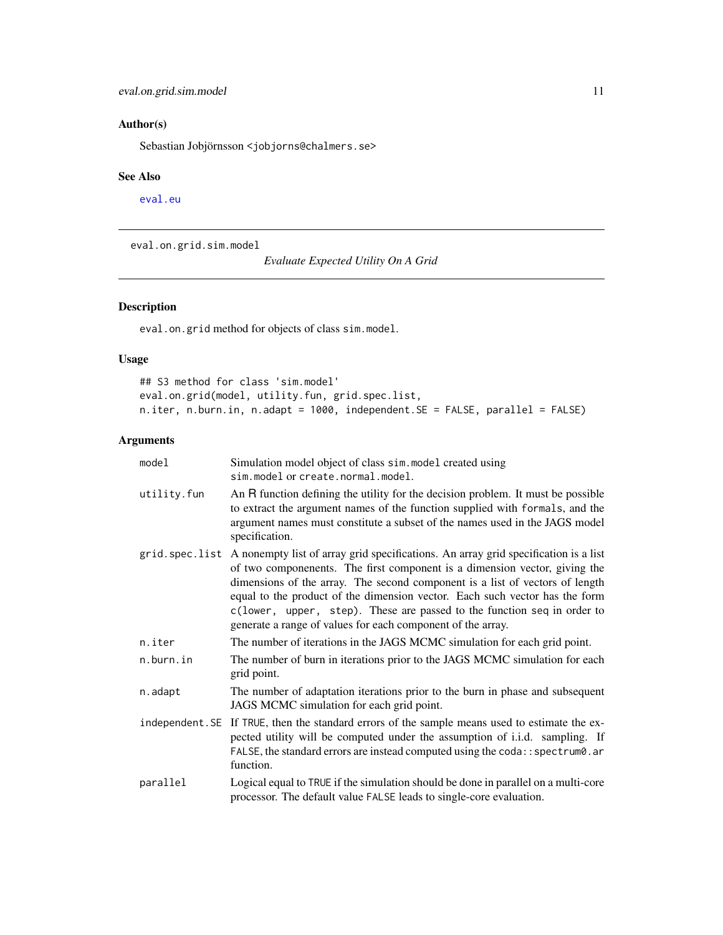# <span id="page-10-0"></span>Author(s)

Sebastian Jobjörnsson <jobjorns@chalmers.se>

#### See Also

[eval.eu](#page-7-1)

eval.on.grid.sim.model

*Evaluate Expected Utility On A Grid*

# Description

eval.on.grid method for objects of class sim.model.

# Usage

## S3 method for class 'sim.model' eval.on.grid(model, utility.fun, grid.spec.list, n.iter, n.burn.in, n.adapt = 1000, independent.SE = FALSE, parallel = FALSE)

| model       | Simulation model object of class sim. model created using<br>sim.model or create.normal.model.                                                                                                                                                                                                                                                                                                                                                                                              |
|-------------|---------------------------------------------------------------------------------------------------------------------------------------------------------------------------------------------------------------------------------------------------------------------------------------------------------------------------------------------------------------------------------------------------------------------------------------------------------------------------------------------|
| utility.fun | An R function defining the utility for the decision problem. It must be possible<br>to extract the argument names of the function supplied with formals, and the<br>argument names must constitute a subset of the names used in the JAGS model<br>specification.                                                                                                                                                                                                                           |
|             | grid. spec. list A nonempty list of array grid specifications. An array grid specification is a list<br>of two componenents. The first component is a dimension vector, giving the<br>dimensions of the array. The second component is a list of vectors of length<br>equal to the product of the dimension vector. Each such vector has the form<br>c(lower, upper, step). These are passed to the function seq in order to<br>generate a range of values for each component of the array. |
| n.iter      | The number of iterations in the JAGS MCMC simulation for each grid point.                                                                                                                                                                                                                                                                                                                                                                                                                   |
| n.burn.in   | The number of burn in iterations prior to the JAGS MCMC simulation for each<br>grid point.                                                                                                                                                                                                                                                                                                                                                                                                  |
| n.adapt     | The number of adaptation iterations prior to the burn in phase and subsequent<br>JAGS MCMC simulation for each grid point.                                                                                                                                                                                                                                                                                                                                                                  |
|             | independent. SE If TRUE, then the standard errors of the sample means used to estimate the ex-<br>pected utility will be computed under the assumption of i.i.d. sampling. If<br>FALSE, the standard errors are instead computed using the coda:: spectrum0.ar<br>function.                                                                                                                                                                                                                 |
| parallel    | Logical equal to TRUE if the simulation should be done in parallel on a multi-core<br>processor. The default value FALSE leads to single-core evaluation.                                                                                                                                                                                                                                                                                                                                   |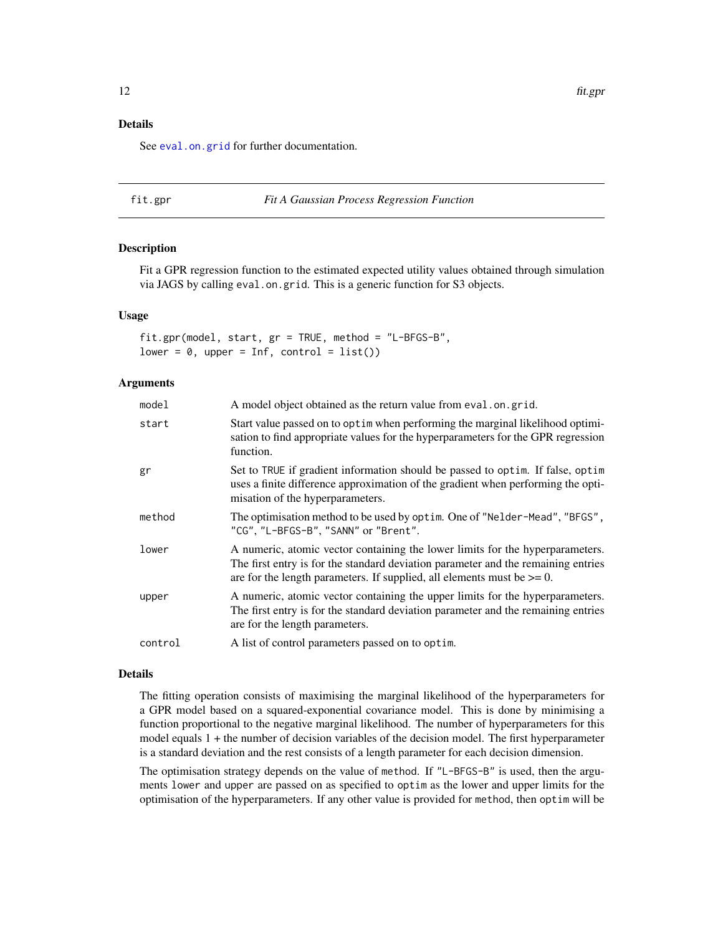# <span id="page-11-0"></span>Details

See [eval.on.grid](#page-9-1) for further documentation.

<span id="page-11-1"></span>

#### fit.gpr *Fit A Gaussian Process Regression Function*

#### Description

Fit a GPR regression function to the estimated expected utility values obtained through simulation via JAGS by calling eval.on.grid. This is a generic function for S3 objects.

#### Usage

fit.gpr(model, start, gr = TRUE, method = "L-BFGS-B", lower =  $0$ , upper = Inf, control = list())

#### Arguments

| model   | A model object obtained as the return value from eval.on.grid.                                                                                                                                                                                    |
|---------|---------------------------------------------------------------------------------------------------------------------------------------------------------------------------------------------------------------------------------------------------|
| start   | Start value passed on to optim when performing the marginal likelihood optimi-<br>sation to find appropriate values for the hyperparameters for the GPR regression<br>function.                                                                   |
| gr      | Set to TRUE if gradient information should be passed to optim. If false, optim<br>uses a finite difference approximation of the gradient when performing the opti-<br>misation of the hyperparameters.                                            |
| method  | The optimisation method to be used by optim. One of "Nelder-Mead", "BFGS",<br>"CG", "L-BFGS-B", "SANN" or "Brent".                                                                                                                                |
| lower   | A numeric, atomic vector containing the lower limits for the hyperparameters.<br>The first entry is for the standard deviation parameter and the remaining entries<br>are for the length parameters. If supplied, all elements must be $\geq 0$ . |
| upper   | A numeric, atomic vector containing the upper limits for the hyperparameters.<br>The first entry is for the standard deviation parameter and the remaining entries<br>are for the length parameters.                                              |
| control | A list of control parameters passed on to optim.                                                                                                                                                                                                  |

#### Details

The fitting operation consists of maximising the marginal likelihood of the hyperparameters for a GPR model based on a squared-exponential covariance model. This is done by minimising a function proportional to the negative marginal likelihood. The number of hyperparameters for this model equals 1 + the number of decision variables of the decision model. The first hyperparameter is a standard deviation and the rest consists of a length parameter for each decision dimension.

The optimisation strategy depends on the value of method. If "L-BFGS-B" is used, then the arguments lower and upper are passed on as specified to optim as the lower and upper limits for the optimisation of the hyperparameters. If any other value is provided for method, then optim will be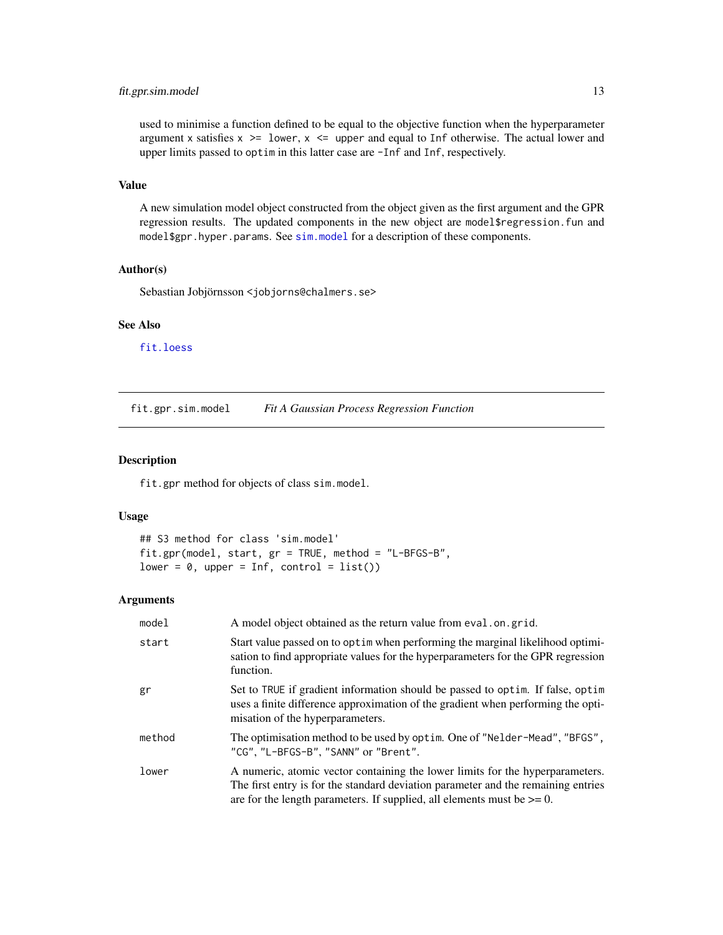# <span id="page-12-0"></span>fit.gpr.sim.model 13

used to minimise a function defined to be equal to the objective function when the hyperparameter argument x satisfies  $x \geq 1$  ower,  $x \leq 1$  upper and equal to Inf otherwise. The actual lower and upper limits passed to optim in this latter case are -Inf and Inf, respectively.

#### Value

A new simulation model object constructed from the object given as the first argument and the GPR regression results. The updated components in the new object are model\$regression.fun and model\$gpr.hyper.params. See [sim.model](#page-25-1) for a description of these components.

#### Author(s)

Sebastian Jobjörnsson <jobjorns@chalmers.se>

### See Also

[fit.loess](#page-13-1)

fit.gpr.sim.model *Fit A Gaussian Process Regression Function*

#### Description

fit.gpr method for objects of class sim.model.

#### Usage

```
## S3 method for class 'sim.model'
fit.gpr(model, start, gr = TRUE, method = "L-BFGS-B",
lower = 0, upper = Inf, control = list())
```

| model  | A model object obtained as the return value from eval.on.grid.                                                                                                                                                                                    |
|--------|---------------------------------------------------------------------------------------------------------------------------------------------------------------------------------------------------------------------------------------------------|
| start  | Start value passed on to optim when performing the marginal likelihood optimi-<br>sation to find appropriate values for the hyperparameters for the GPR regression<br>function.                                                                   |
| gr     | Set to TRUE if gradient information should be passed to optim. If false, optim<br>uses a finite difference approximation of the gradient when performing the opti-<br>misation of the hyperparameters.                                            |
| method | The optimisation method to be used by optim. One of "Nelder-Mead", "BFGS",<br>"CG", "L-BFGS-B", "SANN" or "Brent".                                                                                                                                |
| lower  | A numeric, atomic vector containing the lower limits for the hyperparameters.<br>The first entry is for the standard deviation parameter and the remaining entries<br>are for the length parameters. If supplied, all elements must be $\geq 0$ . |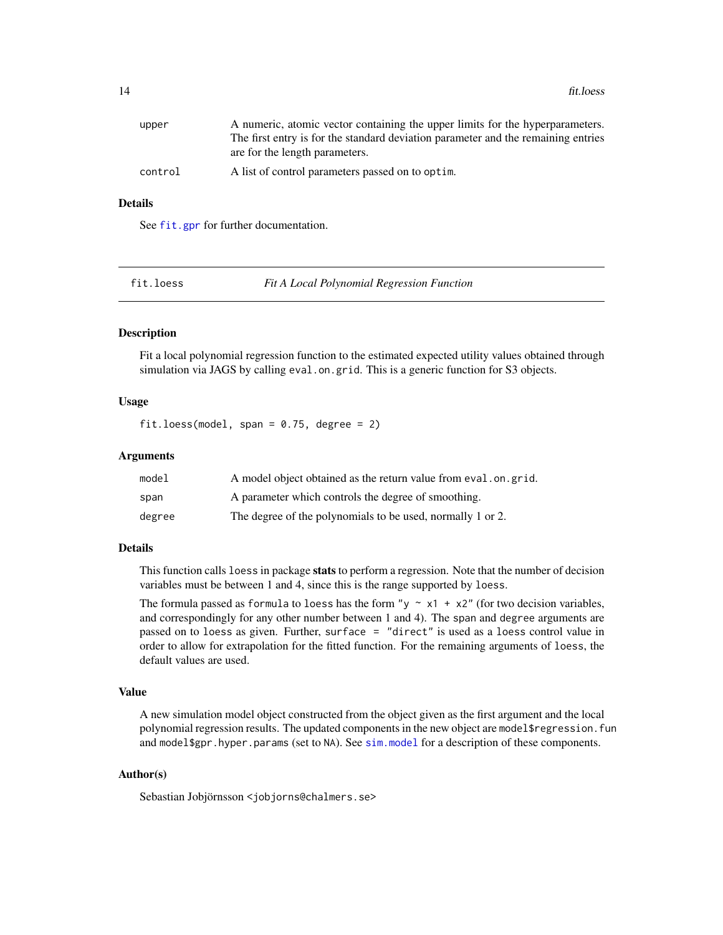<span id="page-13-0"></span>

| upper   | A numeric, atomic vector containing the upper limits for the hyperparameters.     |
|---------|-----------------------------------------------------------------------------------|
|         | The first entry is for the standard deviation parameter and the remaining entries |
|         | are for the length parameters.                                                    |
| control | A list of control parameters passed on to optim.                                  |

# Details

See [fit.gpr](#page-11-1) for further documentation.

<span id="page-13-1"></span>

fit.loess *Fit A Local Polynomial Regression Function*

#### **Description**

Fit a local polynomial regression function to the estimated expected utility values obtained through simulation via JAGS by calling eval. on.grid. This is a generic function for S3 objects.

#### Usage

fit.loess(model, span =  $0.75$ , degree = 2)

# Arguments

| model  | A model object obtained as the return value from eval.on.grid. |
|--------|----------------------------------------------------------------|
| span   | A parameter which controls the degree of smoothing.            |
| degree | The degree of the polynomials to be used, normally 1 or 2.     |

#### Details

This function calls loess in package stats to perform a regression. Note that the number of decision variables must be between 1 and 4, since this is the range supported by loess.

The formula passed as formula to loess has the form "y  $\sim x1 + x2$ " (for two decision variables, and correspondingly for any other number between 1 and 4). The span and degree arguments are passed on to loess as given. Further, surface = "direct" is used as a loess control value in order to allow for extrapolation for the fitted function. For the remaining arguments of loess, the default values are used.

#### Value

A new simulation model object constructed from the object given as the first argument and the local polynomial regression results. The updated components in the new object are model\$regression.fun and model\$gpr.hyper.params (set to NA). See [sim.model](#page-25-1) for a description of these components.

# Author(s)

Sebastian Jobjörnsson <jobjorns@chalmers.se>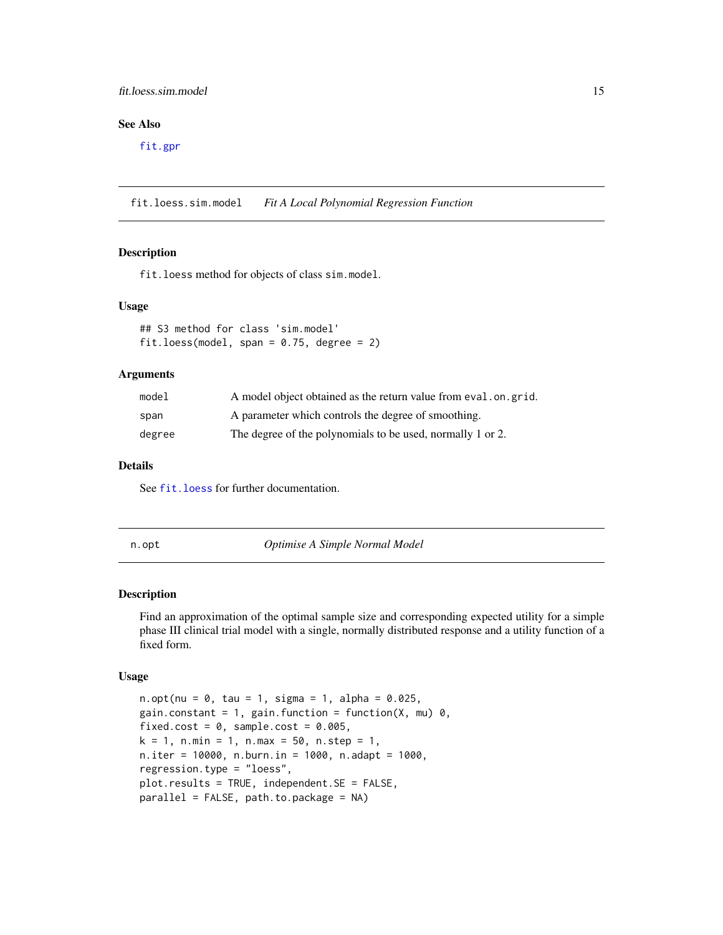### <span id="page-14-0"></span>fit.loess.sim.model 15

# See Also

[fit.gpr](#page-11-1)

fit.loess.sim.model *Fit A Local Polynomial Regression Function*

# Description

fit.loess method for objects of class sim.model.

#### Usage

```
## S3 method for class 'sim.model'
fit.loess(model, span = 0.75, degree = 2)
```
#### Arguments

| model  | A model object obtained as the return value from eval, on, grid. |
|--------|------------------------------------------------------------------|
| span   | A parameter which controls the degree of smoothing.              |
| degree | The degree of the polynomials to be used, normally 1 or 2.       |

#### Details

See [fit.loess](#page-13-1) for further documentation.

n.opt *Optimise A Simple Normal Model*

#### Description

Find an approximation of the optimal sample size and corresponding expected utility for a simple phase III clinical trial model with a single, normally distributed response and a utility function of a fixed form.

#### Usage

```
n. opt(nu = 0, tau = 1, sigma = 1, alpha = 0.025,
gain.constant = 1, gain.function = function(X, mu) 0,
fixed.cost = 0, sample.cost = 0.005,
k = 1, n.min = 1, n.max = 50, n.step = 1,
n.iter = 10000, n.burn.in = 1000, n.adapt = 1000,
regression.type = "loess",
plot.results = TRUE, independent.SE = FALSE,
parallel = FALSE, path.to.package = NA)
```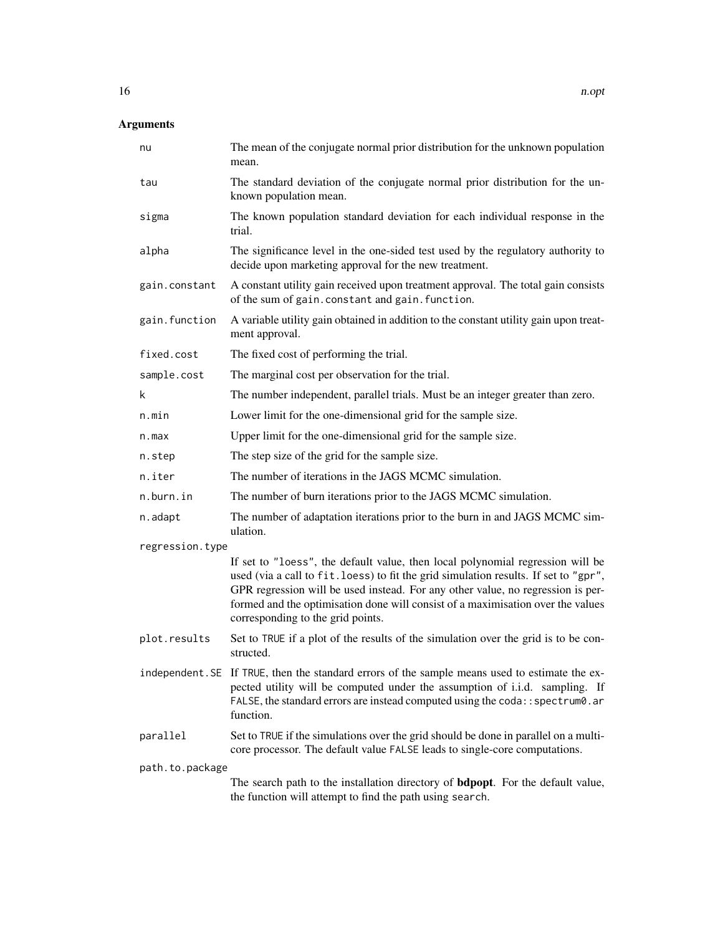| nu              | The mean of the conjugate normal prior distribution for the unknown population<br>mean.                                                                                                                                                                                                                                                                                           |
|-----------------|-----------------------------------------------------------------------------------------------------------------------------------------------------------------------------------------------------------------------------------------------------------------------------------------------------------------------------------------------------------------------------------|
| tau             | The standard deviation of the conjugate normal prior distribution for the un-<br>known population mean.                                                                                                                                                                                                                                                                           |
| sigma           | The known population standard deviation for each individual response in the<br>trial.                                                                                                                                                                                                                                                                                             |
| alpha           | The significance level in the one-sided test used by the regulatory authority to<br>decide upon marketing approval for the new treatment.                                                                                                                                                                                                                                         |
| gain.constant   | A constant utility gain received upon treatment approval. The total gain consists<br>of the sum of gain. constant and gain. function.                                                                                                                                                                                                                                             |
| gain.function   | A variable utility gain obtained in addition to the constant utility gain upon treat-<br>ment approval.                                                                                                                                                                                                                                                                           |
| fixed.cost      | The fixed cost of performing the trial.                                                                                                                                                                                                                                                                                                                                           |
| sample.cost     | The marginal cost per observation for the trial.                                                                                                                                                                                                                                                                                                                                  |
| k               | The number independent, parallel trials. Must be an integer greater than zero.                                                                                                                                                                                                                                                                                                    |
| n.min           | Lower limit for the one-dimensional grid for the sample size.                                                                                                                                                                                                                                                                                                                     |
| n.max           | Upper limit for the one-dimensional grid for the sample size.                                                                                                                                                                                                                                                                                                                     |
| n.step          | The step size of the grid for the sample size.                                                                                                                                                                                                                                                                                                                                    |
| n.iter          | The number of iterations in the JAGS MCMC simulation.                                                                                                                                                                                                                                                                                                                             |
| n.burn.in       | The number of burn iterations prior to the JAGS MCMC simulation.                                                                                                                                                                                                                                                                                                                  |
| n.adapt         | The number of adaptation iterations prior to the burn in and JAGS MCMC sim-<br>ulation.                                                                                                                                                                                                                                                                                           |
| regression.type |                                                                                                                                                                                                                                                                                                                                                                                   |
|                 | If set to "loess", the default value, then local polynomial regression will be<br>used (via a call to fit. loess) to fit the grid simulation results. If set to "gpr",<br>GPR regression will be used instead. For any other value, no regression is per-<br>formed and the optimisation done will consist of a maximisation over the values<br>corresponding to the grid points. |
| plot.results    | Set to TRUE if a plot of the results of the simulation over the grid is to be con-<br>structed.                                                                                                                                                                                                                                                                                   |
|                 | independent. SE If TRUE, then the standard errors of the sample means used to estimate the ex-<br>pected utility will be computed under the assumption of i.i.d. sampling. If<br>FALSE, the standard errors are instead computed using the coda:: spectrum0. ar<br>function.                                                                                                      |
| parallel        | Set to TRUE if the simulations over the grid should be done in parallel on a multi-<br>core processor. The default value FALSE leads to single-core computations.                                                                                                                                                                                                                 |
| path.to.package |                                                                                                                                                                                                                                                                                                                                                                                   |
|                 | The search path to the installation directory of <b>bdpopt</b> . For the default value,<br>the function will attempt to find the path using search.                                                                                                                                                                                                                               |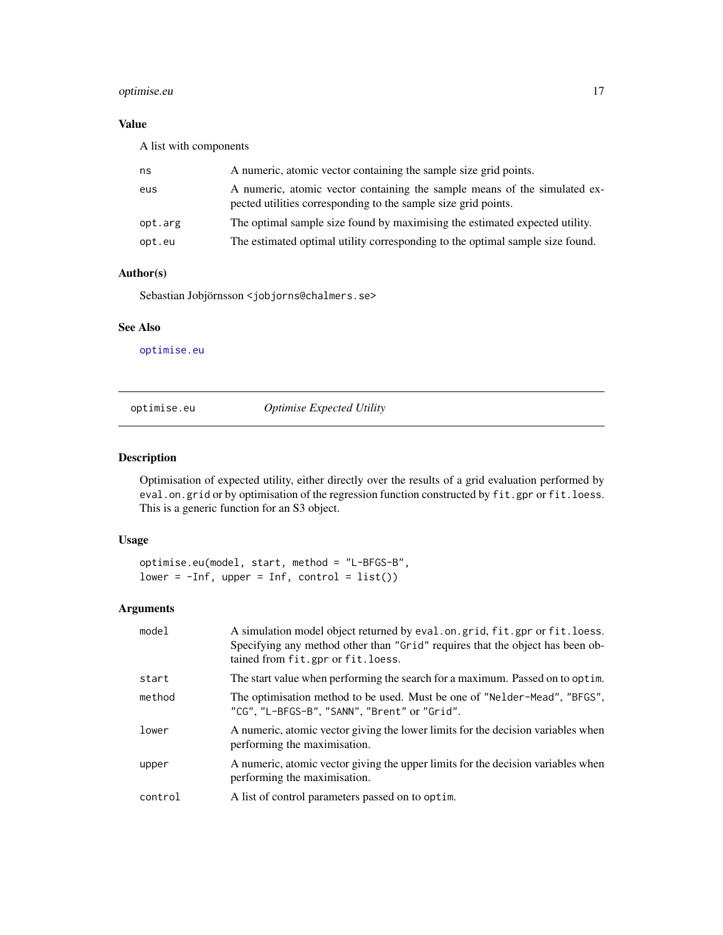# <span id="page-16-0"></span>optimise.eu 17

# Value

A list with components

| ns      | A numeric, atomic vector containing the sample size grid points.                                                                            |
|---------|---------------------------------------------------------------------------------------------------------------------------------------------|
| eus     | A numeric, atomic vector containing the sample means of the simulated ex-<br>pected utilities corresponding to the sample size grid points. |
| opt.arg | The optimal sample size found by maximising the estimated expected utility.                                                                 |
| opt.eu  | The estimated optimal utility corresponding to the optimal sample size found.                                                               |

# Author(s)

Sebastian Jobjörnsson <jobjorns@chalmers.se>

# See Also

[optimise.eu](#page-16-1)

<span id="page-16-1"></span>optimise.eu *Optimise Expected Utility*

# Description

Optimisation of expected utility, either directly over the results of a grid evaluation performed by eval.on.grid or by optimisation of the regression function constructed by fit.gpr or fit.loess. This is a generic function for an S3 object.

# Usage

optimise.eu(model, start, method = "L-BFGS-B",  $lower = -Inf, upper = Inf, control = list()$ 

| model   | A simulation model object returned by eval.on.grid, fit.gpr or fit.loess.<br>Specifying any method other than "Grid" requires that the object has been ob-<br>tained from fit.gpr or fit.loess. |
|---------|-------------------------------------------------------------------------------------------------------------------------------------------------------------------------------------------------|
| start   | The start value when performing the search for a maximum. Passed on to optim.                                                                                                                   |
| method  | The optimisation method to be used. Must be one of "Nelder-Mead", "BFGS",<br>"CG", "L-BFGS-B", "SANN", "Brent" or "Grid".                                                                       |
| lower   | A numeric, atomic vector giving the lower limits for the decision variables when<br>performing the maximisation.                                                                                |
| upper   | A numeric, atomic vector giving the upper limits for the decision variables when<br>performing the maximisation.                                                                                |
| control | A list of control parameters passed on to optim.                                                                                                                                                |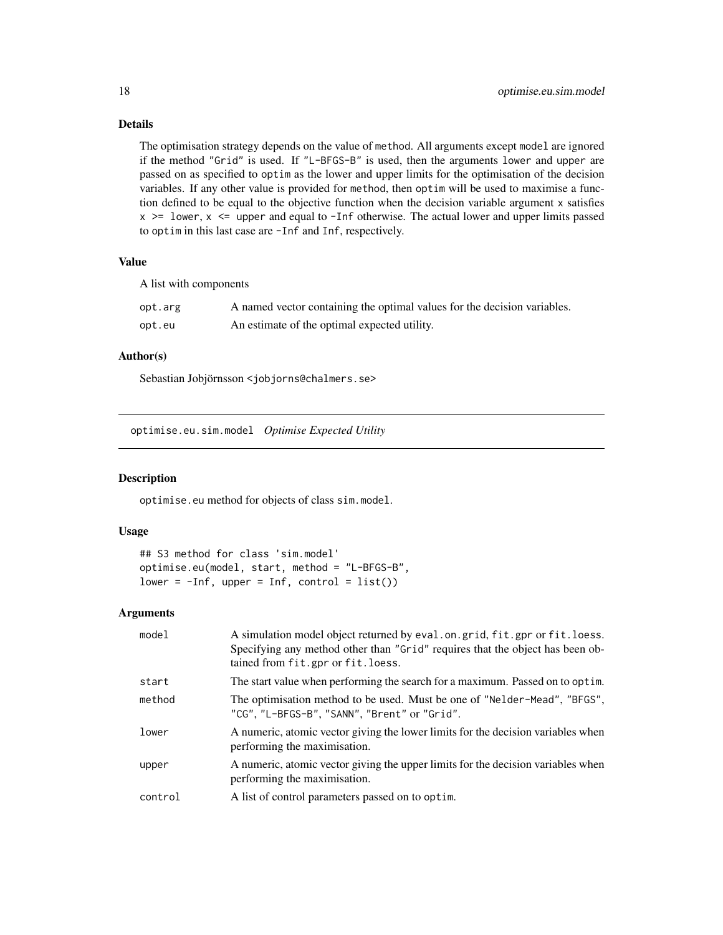# Details

The optimisation strategy depends on the value of method. All arguments except model are ignored if the method "Grid" is used. If "L-BFGS-B" is used, then the arguments lower and upper are passed on as specified to optim as the lower and upper limits for the optimisation of the decision variables. If any other value is provided for method, then optim will be used to maximise a function defined to be equal to the objective function when the decision variable argument x satisfies  $x$  >= lower,  $x$  <= upper and equal to -Inf otherwise. The actual lower and upper limits passed to optim in this last case are -Inf and Inf, respectively.

#### Value

A list with components

| opt.arg | A named vector containing the optimal values for the decision variables. |
|---------|--------------------------------------------------------------------------|
| opt.eu  | An estimate of the optimal expected utility.                             |

# Author(s)

Sebastian Jobjörnsson <jobjorns@chalmers.se>

optimise.eu.sim.model *Optimise Expected Utility*

#### Description

optimise.eu method for objects of class sim.model.

## Usage

```
## S3 method for class 'sim.model'
optimise.eu(model, start, method = "L-BFGS-B",
lower = -Inf, upper = Inf, control = list())
```

| model   | A simulation model object returned by eval. on. grid, fit. gpr or fit. loess.<br>Specifying any method other than "Grid" requires that the object has been ob-<br>tained from fit.gpr or fit.loess. |
|---------|-----------------------------------------------------------------------------------------------------------------------------------------------------------------------------------------------------|
| start   | The start value when performing the search for a maximum. Passed on to optim.                                                                                                                       |
| method  | The optimisation method to be used. Must be one of "Nelder-Mead", "BFGS",<br>"CG", "L-BFGS-B", "SANN", "Brent" or "Grid".                                                                           |
| lower   | A numeric, atomic vector giving the lower limits for the decision variables when<br>performing the maximisation.                                                                                    |
| upper   | A numeric, atomic vector giving the upper limits for the decision variables when<br>performing the maximisation.                                                                                    |
| control | A list of control parameters passed on to optim.                                                                                                                                                    |

<span id="page-17-0"></span>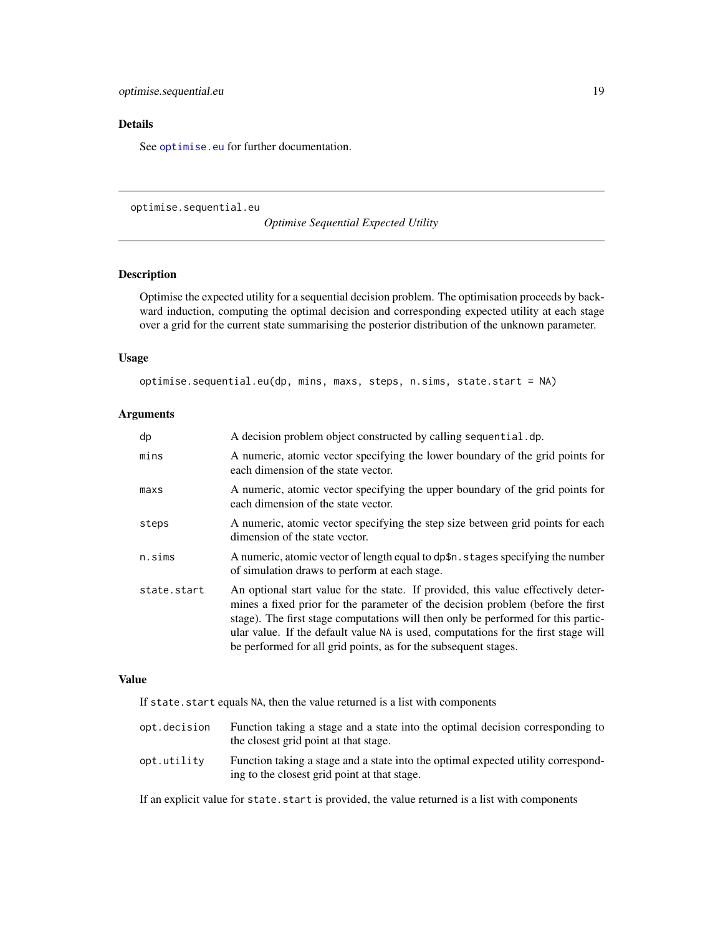# <span id="page-18-0"></span>Details

See [optimise.eu](#page-16-1) for further documentation.

<span id="page-18-1"></span>optimise.sequential.eu

*Optimise Sequential Expected Utility*

# Description

Optimise the expected utility for a sequential decision problem. The optimisation proceeds by backward induction, computing the optimal decision and corresponding expected utility at each stage over a grid for the current state summarising the posterior distribution of the unknown parameter.

#### Usage

```
optimise.sequential.eu(dp, mins, maxs, steps, n.sims, state.start = NA)
```
#### Arguments

| dp               | A decision problem object constructed by calling sequential.dp.                                                                                                                                                                                                                                                                                                                                                    |
|------------------|--------------------------------------------------------------------------------------------------------------------------------------------------------------------------------------------------------------------------------------------------------------------------------------------------------------------------------------------------------------------------------------------------------------------|
| mins             | A numeric, atomic vector specifying the lower boundary of the grid points for<br>each dimension of the state vector.                                                                                                                                                                                                                                                                                               |
| max <sub>s</sub> | A numeric, atomic vector specifying the upper boundary of the grid points for<br>each dimension of the state vector.                                                                                                                                                                                                                                                                                               |
| steps            | A numeric, atomic vector specifying the step size between grid points for each<br>dimension of the state vector.                                                                                                                                                                                                                                                                                                   |
| n.sims           | A numeric, atomic vector of length equal to dp\$n. stages specifying the number<br>of simulation draws to perform at each stage.                                                                                                                                                                                                                                                                                   |
| state.start      | An optional start value for the state. If provided, this value effectively deter-<br>mines a fixed prior for the parameter of the decision problem (before the first<br>stage). The first stage computations will then only be performed for this partic-<br>ular value. If the default value NA is used, computations for the first stage will<br>be performed for all grid points, as for the subsequent stages. |

#### Value

If state.start equals NA, then the value returned is a list with components

| opt.decision | Function taking a stage and a state into the optimal decision corresponding to<br>the closest grid point at that stage.           |
|--------------|-----------------------------------------------------------------------------------------------------------------------------------|
| opt.utility  | Function taking a stage and a state into the optimal expected utility correspond-<br>ing to the closest grid point at that stage. |

If an explicit value for state. start is provided, the value returned is a list with components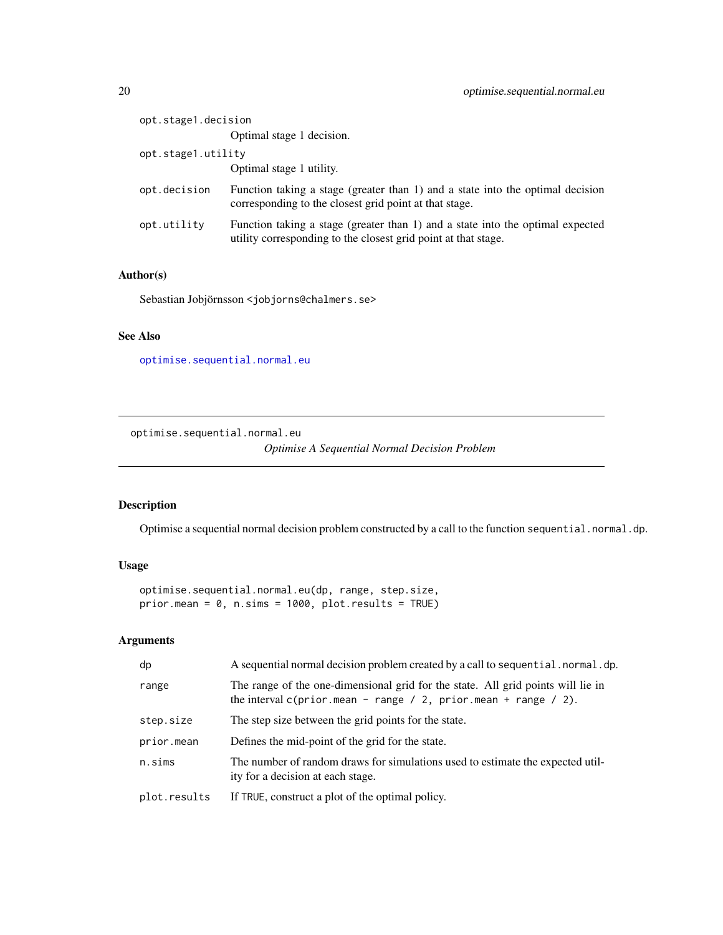<span id="page-19-0"></span>

| opt.stage1.decision |                                                                                                                                                  |
|---------------------|--------------------------------------------------------------------------------------------------------------------------------------------------|
|                     | Optimal stage 1 decision.                                                                                                                        |
| opt.stage1.utility  |                                                                                                                                                  |
|                     | Optimal stage 1 utility.                                                                                                                         |
| opt.decision        | Function taking a stage (greater than 1) and a state into the optimal decision<br>corresponding to the closest grid point at that stage.         |
| opt.utility         | Function taking a stage (greater than 1) and a state into the optimal expected<br>utility corresponding to the closest grid point at that stage. |

# Author(s)

Sebastian Jobjörnsson <jobjorns@chalmers.se>

# See Also

[optimise.sequential.normal.eu](#page-19-1)

<span id="page-19-1"></span>optimise.sequential.normal.eu

*Optimise A Sequential Normal Decision Problem*

# Description

Optimise a sequential normal decision problem constructed by a call to the function sequential.normal.dp.

# Usage

```
optimise.sequential.normal.eu(dp, range, step.size,
prior.mean = 0, n.sims = 1000, plot.results = TRUE)
```

| dp           | A sequential normal decision problem created by a call to sequential normal dp.                                                                        |
|--------------|--------------------------------------------------------------------------------------------------------------------------------------------------------|
| range        | The range of the one-dimensional grid for the state. All grid points will lie in<br>the interval $c(prior.mean - range / 2, prior.mean + range / 2)$ . |
| step.size    | The step size between the grid points for the state.                                                                                                   |
| prior.mean   | Defines the mid-point of the grid for the state.                                                                                                       |
| n.sims       | The number of random draws for simulations used to estimate the expected util-<br>ity for a decision at each stage.                                    |
| plot.results | If TRUE, construct a plot of the optimal policy.                                                                                                       |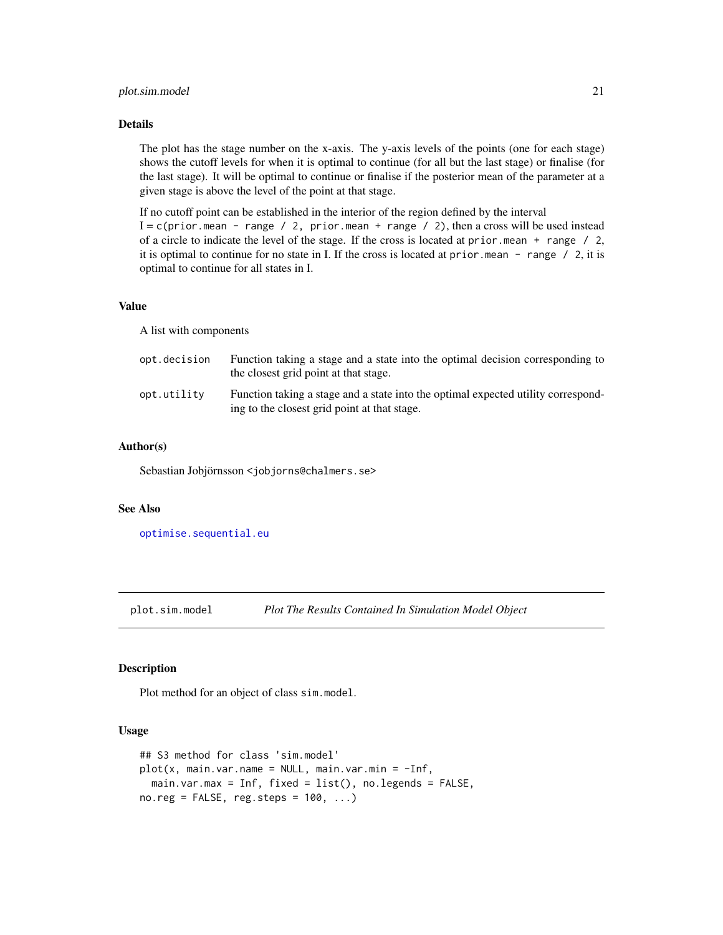#### <span id="page-20-0"></span>plot.sim.model 21

### Details

The plot has the stage number on the x-axis. The y-axis levels of the points (one for each stage) shows the cutoff levels for when it is optimal to continue (for all but the last stage) or finalise (for the last stage). It will be optimal to continue or finalise if the posterior mean of the parameter at a given stage is above the level of the point at that stage.

If no cutoff point can be established in the interior of the region defined by the interval  $I = c(prior.mean - range / 2, prior.mean + range / 2)$ , then a cross will be used instead of a circle to indicate the level of the stage. If the cross is located at prior.mean + range / 2, it is optimal to continue for no state in I. If the cross is located at prior. mean  $-$  range  $/2$ , it is optimal to continue for all states in I.

# Value

A list with components

| opt.decision | Function taking a stage and a state into the optimal decision corresponding to<br>the closest grid point at that stage.           |
|--------------|-----------------------------------------------------------------------------------------------------------------------------------|
| opt.utility  | Function taking a stage and a state into the optimal expected utility correspond-<br>ing to the closest grid point at that stage. |

#### Author(s)

Sebastian Jobjörnsson <jobjorns@chalmers.se>

#### See Also

[optimise.sequential.eu](#page-18-1)

plot.sim.model *Plot The Results Contained In Simulation Model Object*

#### Description

Plot method for an object of class sim.model.

#### Usage

```
## S3 method for class 'sim.model'
plot(x, main-var.name = NULL, main-var.min = -Inf,main.var.max = Inf, fixed = list(), no.legends = FALSE,
no.reg = FALSE, reg.steps = 100, ...)
```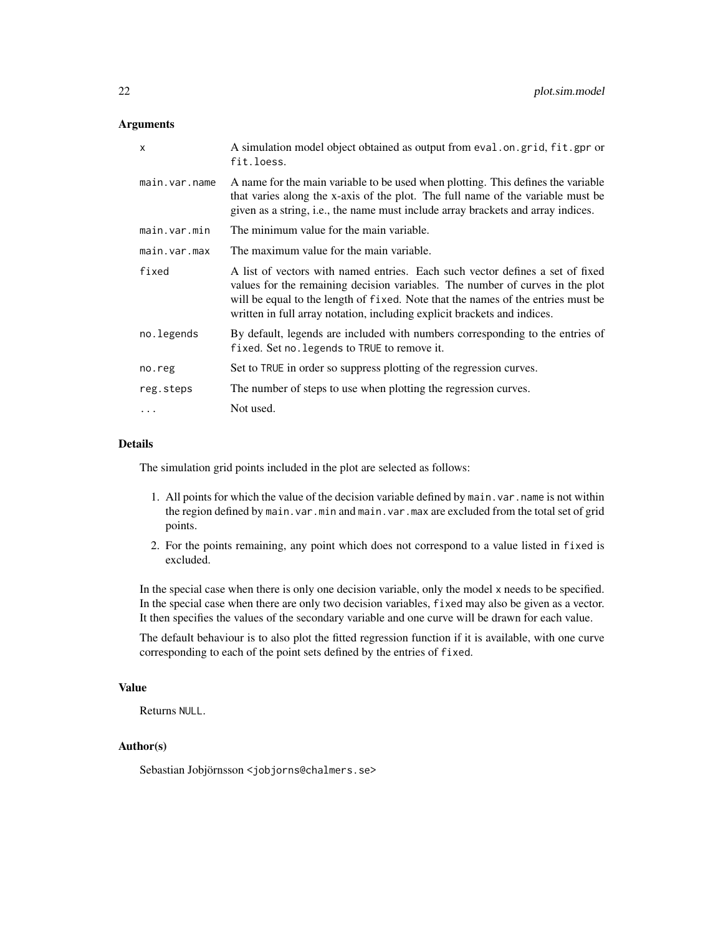#### **Arguments**

| $\mathsf{x}$  | A simulation model object obtained as output from eval. on. grid, fit. gpr or<br>fit.loess.                                                                                                                                                                                                                                    |
|---------------|--------------------------------------------------------------------------------------------------------------------------------------------------------------------------------------------------------------------------------------------------------------------------------------------------------------------------------|
| main.var.name | A name for the main variable to be used when plotting. This defines the variable<br>that varies along the x-axis of the plot. The full name of the variable must be<br>given as a string, i.e., the name must include array brackets and array indices.                                                                        |
| main.var.min  | The minimum value for the main variable.                                                                                                                                                                                                                                                                                       |
| main.var.max  | The maximum value for the main variable.                                                                                                                                                                                                                                                                                       |
| fixed         | A list of vectors with named entries. Each such vector defines a set of fixed<br>values for the remaining decision variables. The number of curves in the plot<br>will be equal to the length of fixed. Note that the names of the entries must be<br>written in full array notation, including explicit brackets and indices. |
| no.legends    | By default, legends are included with numbers corresponding to the entries of<br>fixed. Set no. legends to TRUE to remove it.                                                                                                                                                                                                  |
| no.reg        | Set to TRUE in order so suppress plotting of the regression curves.                                                                                                                                                                                                                                                            |
| reg.steps     | The number of steps to use when plotting the regression curves.                                                                                                                                                                                                                                                                |
| .             | Not used.                                                                                                                                                                                                                                                                                                                      |

#### Details

The simulation grid points included in the plot are selected as follows:

- 1. All points for which the value of the decision variable defined by main.var.name is not within the region defined by main.var.min and main.var.max are excluded from the total set of grid points.
- 2. For the points remaining, any point which does not correspond to a value listed in fixed is excluded.

In the special case when there is only one decision variable, only the model x needs to be specified. In the special case when there are only two decision variables, fixed may also be given as a vector. It then specifies the values of the secondary variable and one curve will be drawn for each value.

The default behaviour is to also plot the fitted regression function if it is available, with one curve corresponding to each of the point sets defined by the entries of fixed.

#### Value

Returns NULL.

# Author(s)

Sebastian Jobjörnsson <jobjorns@chalmers.se>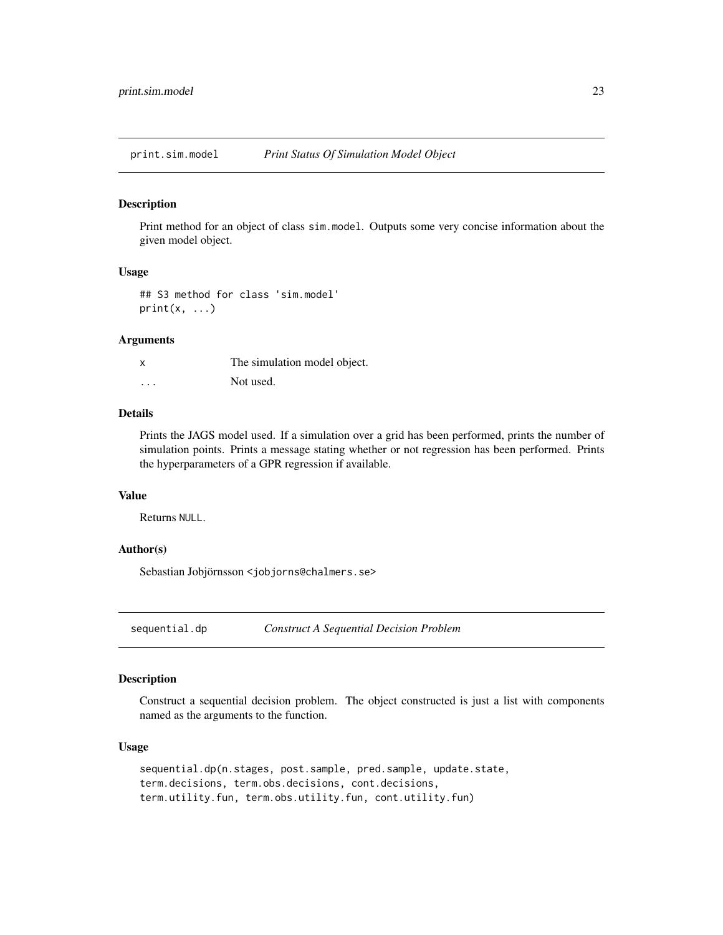<span id="page-22-0"></span>print.sim.model *Print Status Of Simulation Model Object*

#### Description

Print method for an object of class sim.model. Outputs some very concise information about the given model object.

# Usage

## S3 method for class 'sim.model'  $print(x, \ldots)$ 

#### Arguments

|   | The simulation model object. |
|---|------------------------------|
| . | Not used.                    |

#### Details

Prints the JAGS model used. If a simulation over a grid has been performed, prints the number of simulation points. Prints a message stating whether or not regression has been performed. Prints the hyperparameters of a GPR regression if available.

#### Value

Returns NULL.

# Author(s)

Sebastian Jobjörnsson <jobjorns@chalmers.se>

<span id="page-22-1"></span>sequential.dp *Construct A Sequential Decision Problem*

# Description

Construct a sequential decision problem. The object constructed is just a list with components named as the arguments to the function.

#### Usage

sequential.dp(n.stages, post.sample, pred.sample, update.state, term.decisions, term.obs.decisions, cont.decisions, term.utility.fun, term.obs.utility.fun, cont.utility.fun)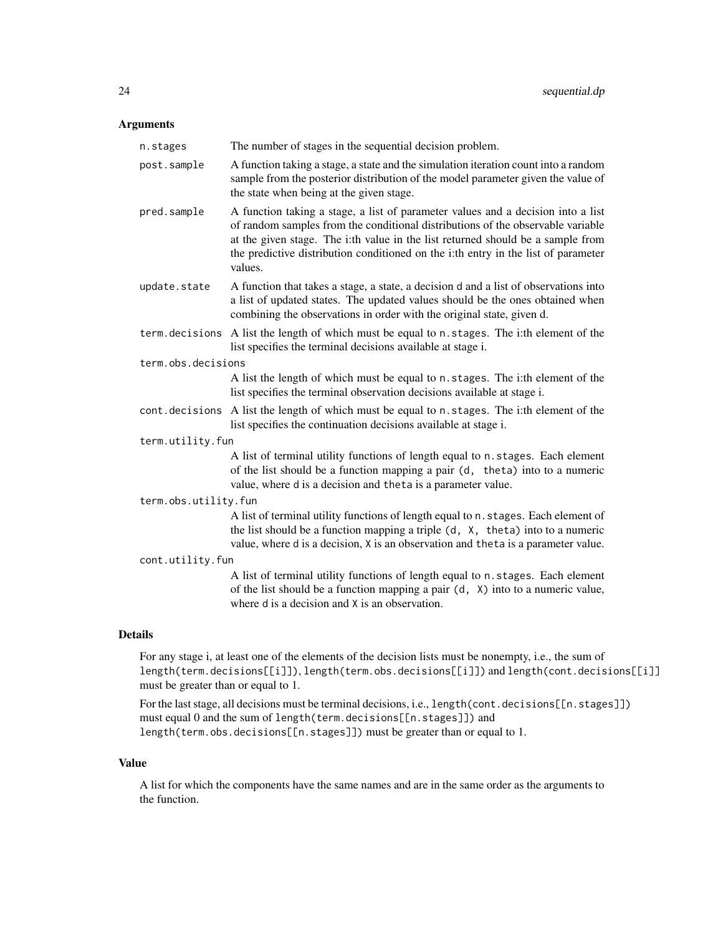# Arguments

| n.stages             | The number of stages in the sequential decision problem.                                                                                                                                                                                                                                                                                                |
|----------------------|---------------------------------------------------------------------------------------------------------------------------------------------------------------------------------------------------------------------------------------------------------------------------------------------------------------------------------------------------------|
| post.sample          | A function taking a stage, a state and the simulation iteration count into a random<br>sample from the posterior distribution of the model parameter given the value of<br>the state when being at the given stage.                                                                                                                                     |
| pred.sample          | A function taking a stage, a list of parameter values and a decision into a list<br>of random samples from the conditional distributions of the observable variable<br>at the given stage. The i:th value in the list returned should be a sample from<br>the predictive distribution conditioned on the i:th entry in the list of parameter<br>values. |
| update.state         | A function that takes a stage, a state, a decision d and a list of observations into<br>a list of updated states. The updated values should be the ones obtained when<br>combining the observations in order with the original state, given d.                                                                                                          |
|                      | term decisions A list the length of which must be equal to n. stages. The i:th element of the<br>list specifies the terminal decisions available at stage i.                                                                                                                                                                                            |
| term.obs.decisions   |                                                                                                                                                                                                                                                                                                                                                         |
|                      | A list the length of which must be equal to n. stages. The i:th element of the<br>list specifies the terminal observation decisions available at stage i.                                                                                                                                                                                               |
|                      | cont. decisions A list the length of which must be equal to n. stages. The i:th element of the<br>list specifies the continuation decisions available at stage i.                                                                                                                                                                                       |
| term.utility.fun     |                                                                                                                                                                                                                                                                                                                                                         |
|                      | A list of terminal utility functions of length equal to n. stages. Each element<br>of the list should be a function mapping a pair (d, theta) into to a numeric<br>value, where d is a decision and theta is a parameter value.                                                                                                                         |
| term.obs.utility.fun |                                                                                                                                                                                                                                                                                                                                                         |
|                      | A list of terminal utility functions of length equal to n. stages. Each element of<br>the list should be a function mapping a triple (d, X, theta) into to a numeric<br>value, where d is a decision, X is an observation and theta is a parameter value.                                                                                               |
| cont.utility.fun     |                                                                                                                                                                                                                                                                                                                                                         |
|                      | A list of terminal utility functions of length equal to n.stages. Each element<br>of the list should be a function mapping a pair (d, X) into to a numeric value,<br>where d is a decision and X is an observation.                                                                                                                                     |

# Details

For any stage i, at least one of the elements of the decision lists must be nonempty, i.e., the sum of length(term.decisions[[i]]), length(term.obs.decisions[[i]]) and length(cont.decisions[[i]] must be greater than or equal to 1.

For the last stage, all decisions must be terminal decisions, i.e., length(cont.decisions[[n.stages]]) must equal 0 and the sum of length(term.decisions[[n.stages]]) and length(term.obs.decisions[[n.stages]]) must be greater than or equal to 1.

#### Value

A list for which the components have the same names and are in the same order as the arguments to the function.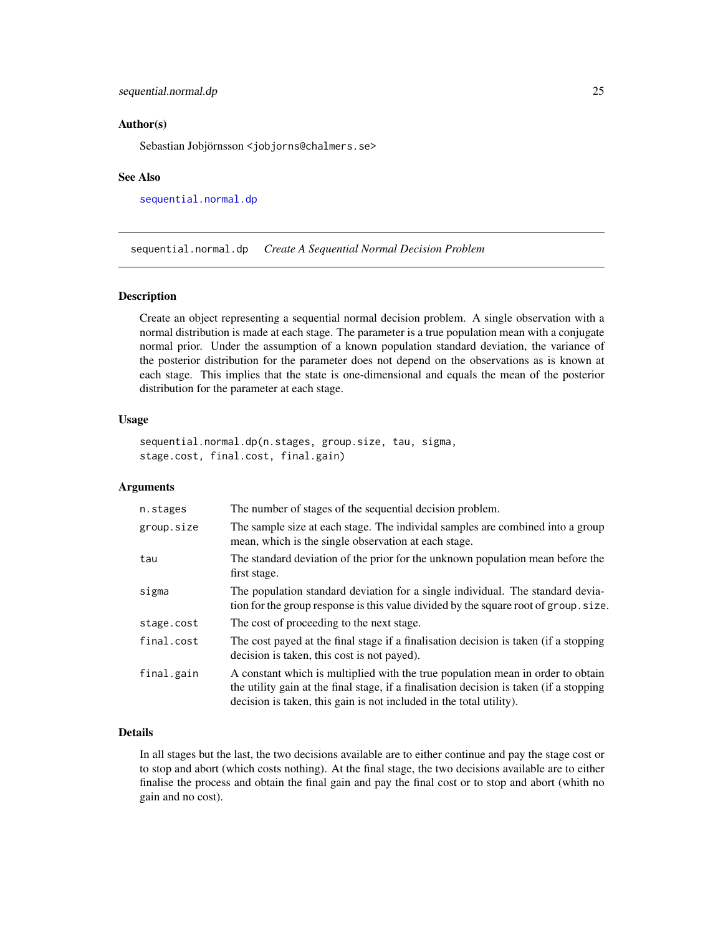#### <span id="page-24-0"></span>Author(s)

Sebastian Jobjörnsson <jobjorns@chalmers.se>

#### See Also

[sequential.normal.dp](#page-24-1)

<span id="page-24-1"></span>sequential.normal.dp *Create A Sequential Normal Decision Problem*

#### Description

Create an object representing a sequential normal decision problem. A single observation with a normal distribution is made at each stage. The parameter is a true population mean with a conjugate normal prior. Under the assumption of a known population standard deviation, the variance of the posterior distribution for the parameter does not depend on the observations as is known at each stage. This implies that the state is one-dimensional and equals the mean of the posterior distribution for the parameter at each stage.

#### Usage

```
sequential.normal.dp(n.stages, group.size, tau, sigma,
stage.cost, final.cost, final.gain)
```
# Arguments

| n.stages   | The number of stages of the sequential decision problem.                                                                                                                                                                                          |
|------------|---------------------------------------------------------------------------------------------------------------------------------------------------------------------------------------------------------------------------------------------------|
| group.size | The sample size at each stage. The individal samples are combined into a group<br>mean, which is the single observation at each stage.                                                                                                            |
| tau        | The standard deviation of the prior for the unknown population mean before the<br>first stage.                                                                                                                                                    |
| sigma      | The population standard deviation for a single individual. The standard devia-<br>tion for the group response is this value divided by the square root of group. size.                                                                            |
| stage.cost | The cost of proceeding to the next stage.                                                                                                                                                                                                         |
| final.cost | The cost payed at the final stage if a finalisation decision is taken (if a stopping<br>decision is taken, this cost is not payed).                                                                                                               |
| final.gain | A constant which is multiplied with the true population mean in order to obtain<br>the utility gain at the final stage, if a finalisation decision is taken (if a stopping<br>decision is taken, this gain is not included in the total utility). |

#### Details

In all stages but the last, the two decisions available are to either continue and pay the stage cost or to stop and abort (which costs nothing). At the final stage, the two decisions available are to either finalise the process and obtain the final gain and pay the final cost or to stop and abort (whith no gain and no cost).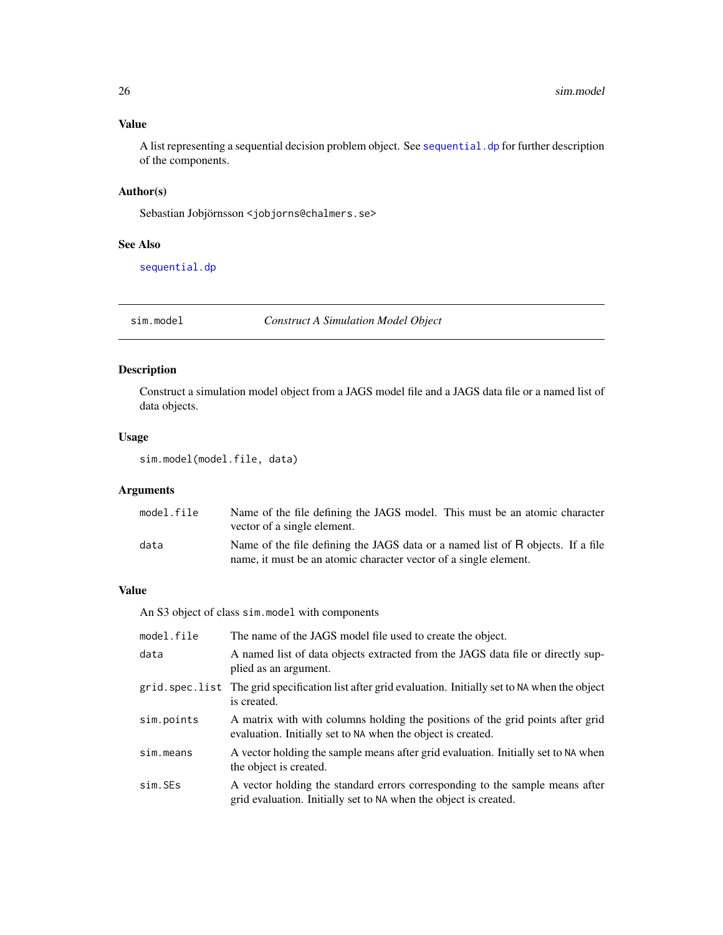# <span id="page-25-0"></span>Value

A list representing a sequential decision problem object. See sequential. dp for further description of the components.

# Author(s)

Sebastian Jobjörnsson <jobjorns@chalmers.se>

# See Also

[sequential.dp](#page-22-1)

<span id="page-25-1"></span>sim.model *Construct A Simulation Model Object*

# Description

Construct a simulation model object from a JAGS model file and a JAGS data file or a named list of data objects.

## Usage

```
sim.model(model.file, data)
```
# Arguments

| model.file | Name of the file defining the JAGS model. This must be an atomic character      |
|------------|---------------------------------------------------------------------------------|
|            | vector of a single element.                                                     |
| data       | Name of the file defining the JAGS data or a named list of R objects. If a file |
|            | name, it must be an atomic character vector of a single element.                |

## Value

An S3 object of class sim.model with components

| model.file | The name of the JAGS model file used to create the object.                                                                                       |
|------------|--------------------------------------------------------------------------------------------------------------------------------------------------|
| data       | A named list of data objects extracted from the JAGS data file or directly sup-<br>plied as an argument.                                         |
|            | grid. spec. list The grid specification list after grid evaluation. Initially set to NA when the object<br>is created.                           |
| sim.points | A matrix with with columns holding the positions of the grid points after grid<br>evaluation. Initially set to NA when the object is created.    |
| sim.means  | A vector holding the sample means after grid evaluation. Initially set to NA when<br>the object is created.                                      |
| sim.SEs    | A vector holding the standard errors corresponding to the sample means after<br>grid evaluation. Initially set to NA when the object is created. |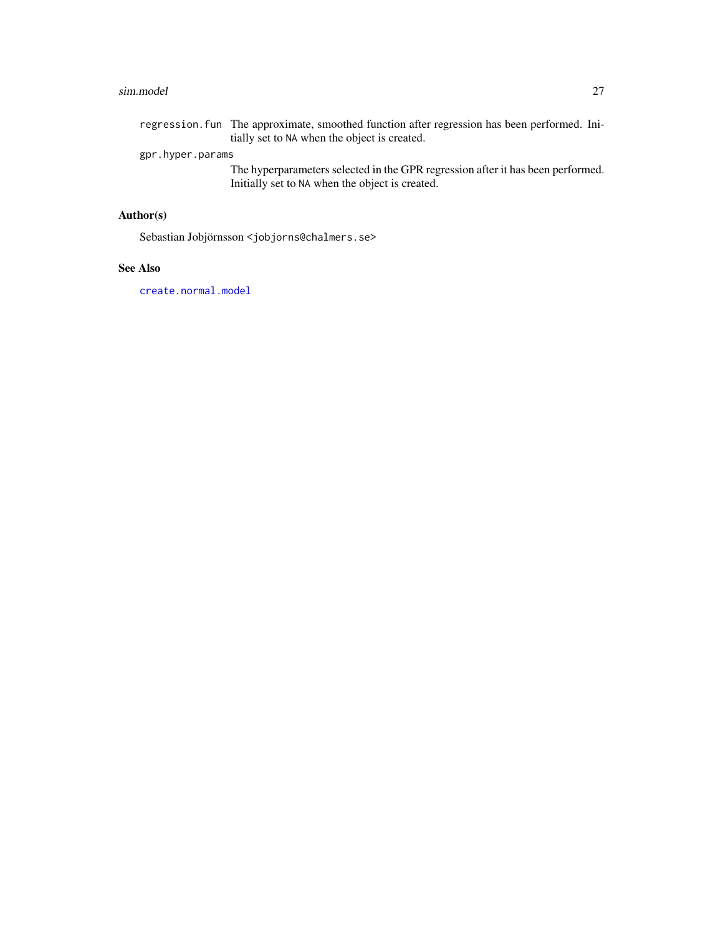#### <span id="page-26-0"></span>sim.model 27

regression.fun The approximate, smoothed function after regression has been performed. Initially set to NA when the object is created.

# gpr.hyper.params

The hyperparameters selected in the GPR regression after it has been performed. Initially set to NA when the object is created.

# Author(s)

Sebastian Jobjörnsson <jobjorns@chalmers.se>

### See Also

[create.normal.model](#page-1-1)